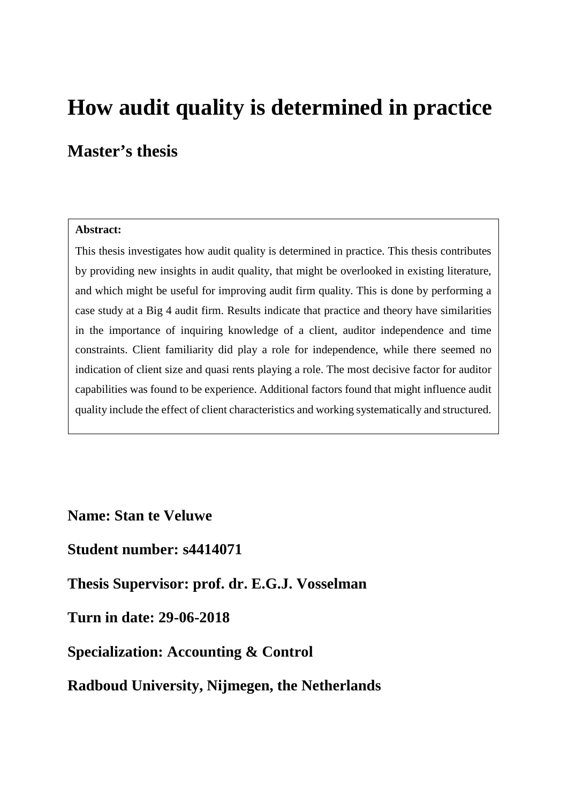# **How audit quality is determined in practice**

## **Master's thesis**

#### **Abstract:**

This thesis investigates how audit quality is determined in practice. This thesis contributes by providing new insights in audit quality, that might be overlooked in existing literature, and which might be useful for improving audit firm quality. This is done by performing a case study at a Big 4 audit firm. Results indicate that practice and theory have similarities in the importance of inquiring knowledge of a client, auditor independence and time constraints. Client familiarity did play a role for independence, while there seemed no indication of client size and quasi rents playing a role. The most decisive factor for auditor capabilities was found to be experience. Additional factors found that might influence audit quality include the effect of client characteristics and working systematically and structured.

**Name: Stan te Veluwe** 

## **Student number: s4414071**

**Thesis Supervisor: prof. dr. E.G.J. Vosselman**

## **Turn in date: 29-06-2018**

## **Specialization: Accounting & Control**

## **Radboud University, Nijmegen, the Netherlands**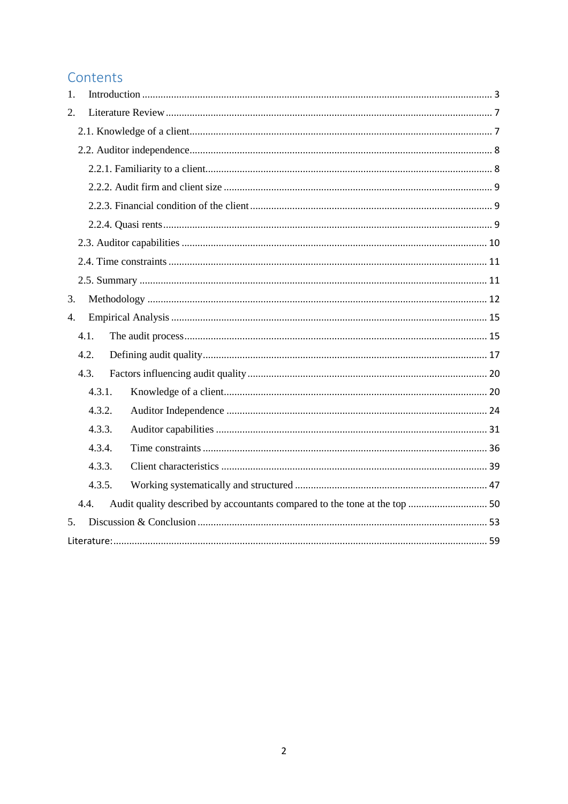## Contents

| 1.     |  |  |  |  |  |
|--------|--|--|--|--|--|
| 2.     |  |  |  |  |  |
|        |  |  |  |  |  |
|        |  |  |  |  |  |
|        |  |  |  |  |  |
|        |  |  |  |  |  |
|        |  |  |  |  |  |
|        |  |  |  |  |  |
|        |  |  |  |  |  |
|        |  |  |  |  |  |
|        |  |  |  |  |  |
| 3.     |  |  |  |  |  |
| 4.     |  |  |  |  |  |
| 4.1.   |  |  |  |  |  |
| 4.2.   |  |  |  |  |  |
| 4.3.   |  |  |  |  |  |
| 4.3.1. |  |  |  |  |  |
| 4.3.2. |  |  |  |  |  |
| 4.3.3. |  |  |  |  |  |
| 4.3.4. |  |  |  |  |  |
| 4.3.3. |  |  |  |  |  |
| 4.3.5. |  |  |  |  |  |
| 4.4.   |  |  |  |  |  |
| 5.     |  |  |  |  |  |
|        |  |  |  |  |  |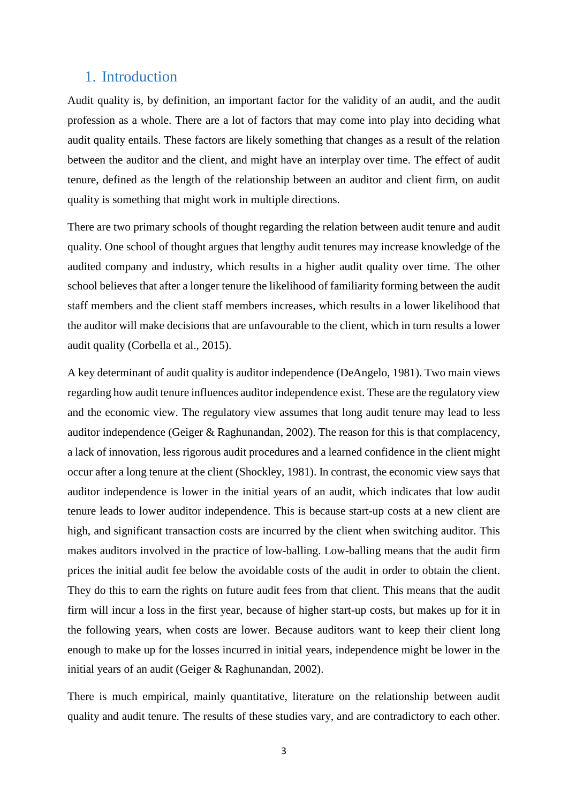## <span id="page-2-0"></span>1. Introduction

Audit quality is, by definition, an important factor for the validity of an audit, and the audit profession as a whole. There are a lot of factors that may come into play into deciding what audit quality entails. These factors are likely something that changes as a result of the relation between the auditor and the client, and might have an interplay over time. The effect of audit tenure, defined as the length of the relationship between an auditor and client firm, on audit quality is something that might work in multiple directions.

There are two primary schools of thought regarding the relation between audit tenure and audit quality. One school of thought argues that lengthy audit tenures may increase knowledge of the audited company and industry, which results in a higher audit quality over time. The other school believes that after a longer tenure the likelihood of familiarity forming between the audit staff members and the client staff members increases, which results in a lower likelihood that the auditor will make decisions that are unfavourable to the client, which in turn results a lower audit quality (Corbella et al., 2015).

A key determinant of audit quality is auditor independence (DeAngelo, 1981). Two main views regarding how audit tenure influences auditor independence exist. These are the regulatory view and the economic view. The regulatory view assumes that long audit tenure may lead to less auditor independence (Geiger & Raghunandan, 2002). The reason for this is that complacency, a lack of innovation, less rigorous audit procedures and a learned confidence in the client might occur after a long tenure at the client (Shockley, 1981). In contrast, the economic view says that auditor independence is lower in the initial years of an audit, which indicates that low audit tenure leads to lower auditor independence. This is because start-up costs at a new client are high, and significant transaction costs are incurred by the client when switching auditor. This makes auditors involved in the practice of low-balling. Low-balling means that the audit firm prices the initial audit fee below the avoidable costs of the audit in order to obtain the client. They do this to earn the rights on future audit fees from that client. This means that the audit firm will incur a loss in the first year, because of higher start-up costs, but makes up for it in the following years, when costs are lower. Because auditors want to keep their client long enough to make up for the losses incurred in initial years, independence might be lower in the initial years of an audit (Geiger & Raghunandan, 2002).

There is much empirical, mainly quantitative, literature on the relationship between audit quality and audit tenure. The results of these studies vary, and are contradictory to each other.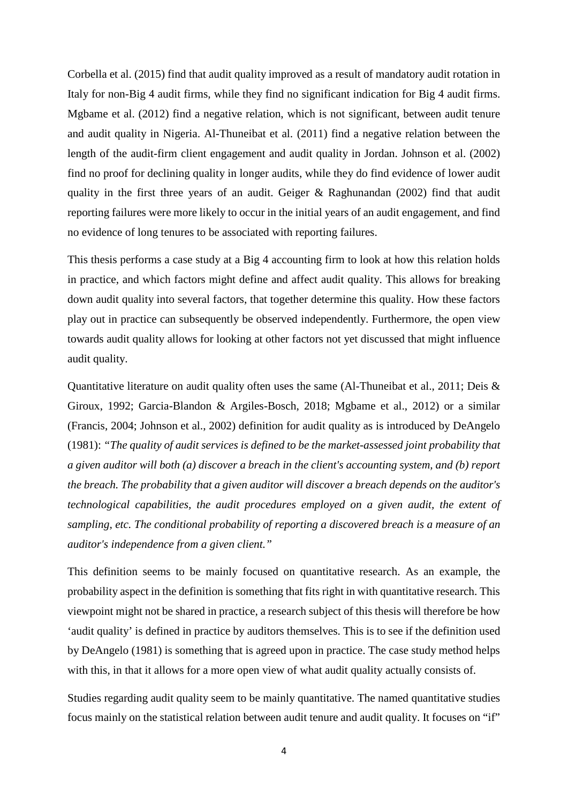Corbella et al. (2015) find that audit quality improved as a result of mandatory audit rotation in Italy for non-Big 4 audit firms, while they find no significant indication for Big 4 audit firms. Mgbame et al. (2012) find a negative relation, which is not significant, between audit tenure and audit quality in Nigeria. Al-Thuneibat et al. (2011) find a negative relation between the length of the audit-firm client engagement and audit quality in Jordan. Johnson et al. (2002) find no proof for declining quality in longer audits, while they do find evidence of lower audit quality in the first three years of an audit. Geiger & Raghunandan (2002) find that audit reporting failures were more likely to occur in the initial years of an audit engagement, and find no evidence of long tenures to be associated with reporting failures.

This thesis performs a case study at a Big 4 accounting firm to look at how this relation holds in practice, and which factors might define and affect audit quality. This allows for breaking down audit quality into several factors, that together determine this quality. How these factors play out in practice can subsequently be observed independently. Furthermore, the open view towards audit quality allows for looking at other factors not yet discussed that might influence audit quality.

Quantitative literature on audit quality often uses the same (Al-Thuneibat et al., 2011; Deis & Giroux, 1992; Garcia-Blandon & Argiles-Bosch, 2018; Mgbame et al., 2012) or a similar (Francis, 2004; Johnson et al., 2002) definition for audit quality as is introduced by DeAngelo (1981): *"The quality of audit services is defined to be the market-assessed joint probability that a given auditor will both (a) discover a breach in the client's accounting system, and (b) report the breach. The probability that a given auditor will discover a breach depends on the auditor's technological capabilities, the audit procedures employed on a given audit, the extent of sampling, etc. The conditional probability of reporting a discovered breach is a measure of an auditor's independence from a given client."*

This definition seems to be mainly focused on quantitative research. As an example, the probability aspect in the definition is something that fits right in with quantitative research. This viewpoint might not be shared in practice, a research subject of this thesis will therefore be how 'audit quality' is defined in practice by auditors themselves. This is to see if the definition used by DeAngelo (1981) is something that is agreed upon in practice. The case study method helps with this, in that it allows for a more open view of what audit quality actually consists of.

Studies regarding audit quality seem to be mainly quantitative. The named quantitative studies focus mainly on the statistical relation between audit tenure and audit quality. It focuses on "if"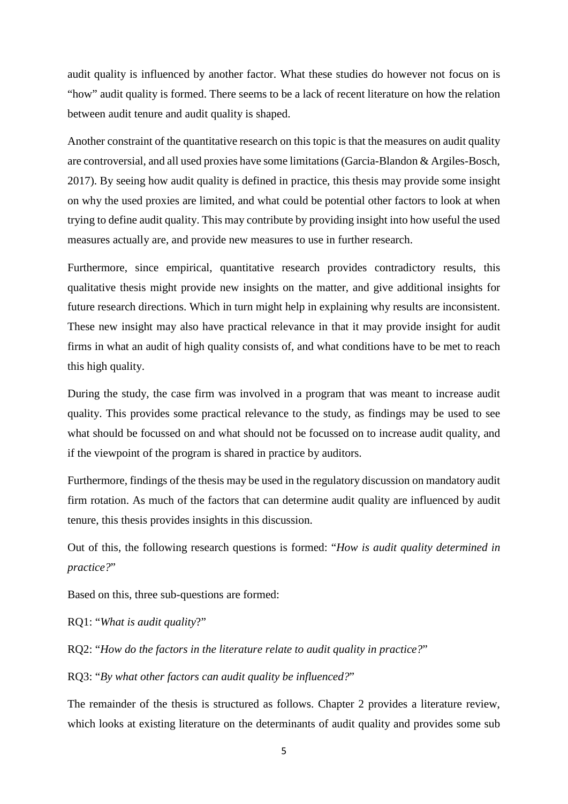audit quality is influenced by another factor. What these studies do however not focus on is "how" audit quality is formed. There seems to be a lack of recent literature on how the relation between audit tenure and audit quality is shaped.

Another constraint of the quantitative research on this topic is that the measures on audit quality are controversial, and all used proxies have some limitations (Garcia-Blandon & Argiles-Bosch, 2017). By seeing how audit quality is defined in practice, this thesis may provide some insight on why the used proxies are limited, and what could be potential other factors to look at when trying to define audit quality. This may contribute by providing insight into how useful the used measures actually are, and provide new measures to use in further research.

Furthermore, since empirical, quantitative research provides contradictory results, this qualitative thesis might provide new insights on the matter, and give additional insights for future research directions. Which in turn might help in explaining why results are inconsistent. These new insight may also have practical relevance in that it may provide insight for audit firms in what an audit of high quality consists of, and what conditions have to be met to reach this high quality.

During the study, the case firm was involved in a program that was meant to increase audit quality. This provides some practical relevance to the study, as findings may be used to see what should be focussed on and what should not be focussed on to increase audit quality, and if the viewpoint of the program is shared in practice by auditors.

Furthermore, findings of the thesis may be used in the regulatory discussion on mandatory audit firm rotation. As much of the factors that can determine audit quality are influenced by audit tenure, this thesis provides insights in this discussion.

Out of this, the following research questions is formed: "*How is audit quality determined in practice?*"

Based on this, three sub-questions are formed:

RQ1: "*What is audit quality*?"

RQ2: "*How do the factors in the literature relate to audit quality in practice?*"

RQ3: "*By what other factors can audit quality be influenced?*"

The remainder of the thesis is structured as follows. Chapter 2 provides a literature review, which looks at existing literature on the determinants of audit quality and provides some sub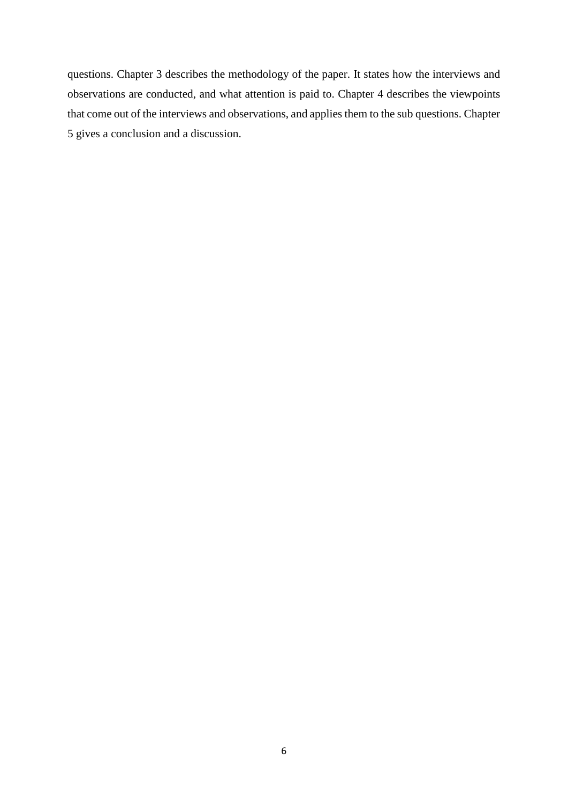questions. Chapter 3 describes the methodology of the paper. It states how the interviews and observations are conducted, and what attention is paid to. Chapter 4 describes the viewpoints that come out of the interviews and observations, and applies them to the sub questions. Chapter 5 gives a conclusion and a discussion.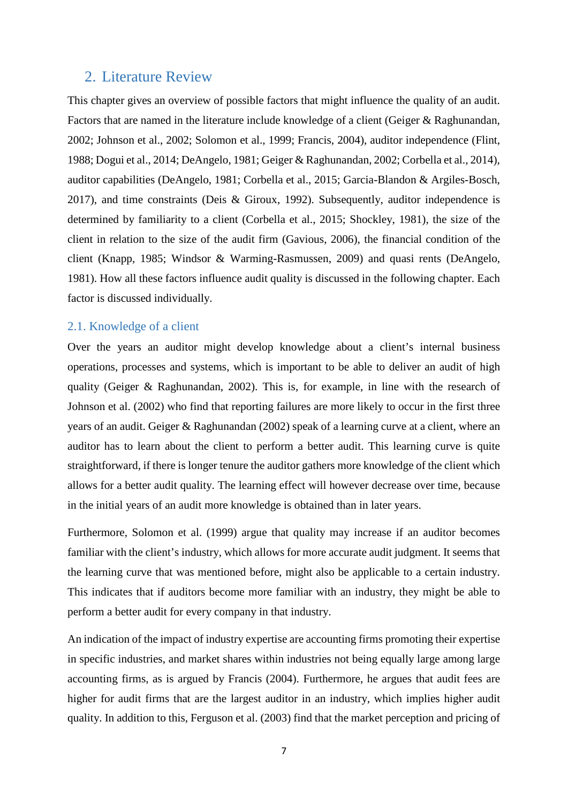## <span id="page-6-0"></span>2. Literature Review

This chapter gives an overview of possible factors that might influence the quality of an audit. Factors that are named in the literature include knowledge of a client (Geiger & Raghunandan, 2002; Johnson et al., 2002; Solomon et al., 1999; Francis, 2004), auditor independence (Flint, 1988; Dogui et al., 2014; DeAngelo, 1981; Geiger & Raghunandan, 2002; Corbella et al., 2014), auditor capabilities (DeAngelo, 1981; Corbella et al., 2015; Garcia-Blandon & Argiles-Bosch, 2017), and time constraints (Deis & Giroux, 1992). Subsequently, auditor independence is determined by familiarity to a client (Corbella et al., 2015; Shockley, 1981), the size of the client in relation to the size of the audit firm (Gavious, 2006), the financial condition of the client (Knapp, 1985; Windsor & Warming-Rasmussen, 2009) and quasi rents (DeAngelo, 1981). How all these factors influence audit quality is discussed in the following chapter. Each factor is discussed individually.

#### <span id="page-6-1"></span>2.1. Knowledge of a client

Over the years an auditor might develop knowledge about a client's internal business operations, processes and systems, which is important to be able to deliver an audit of high quality (Geiger & Raghunandan, 2002). This is, for example, in line with the research of Johnson et al. (2002) who find that reporting failures are more likely to occur in the first three years of an audit. Geiger & Raghunandan (2002) speak of a learning curve at a client, where an auditor has to learn about the client to perform a better audit. This learning curve is quite straightforward, if there is longer tenure the auditor gathers more knowledge of the client which allows for a better audit quality. The learning effect will however decrease over time, because in the initial years of an audit more knowledge is obtained than in later years.

Furthermore, Solomon et al. (1999) argue that quality may increase if an auditor becomes familiar with the client's industry, which allows for more accurate audit judgment. It seems that the learning curve that was mentioned before, might also be applicable to a certain industry. This indicates that if auditors become more familiar with an industry, they might be able to perform a better audit for every company in that industry.

An indication of the impact of industry expertise are accounting firms promoting their expertise in specific industries, and market shares within industries not being equally large among large accounting firms, as is argued by Francis (2004). Furthermore, he argues that audit fees are higher for audit firms that are the largest auditor in an industry, which implies higher audit quality. In addition to this, Ferguson et al. (2003) find that the market perception and pricing of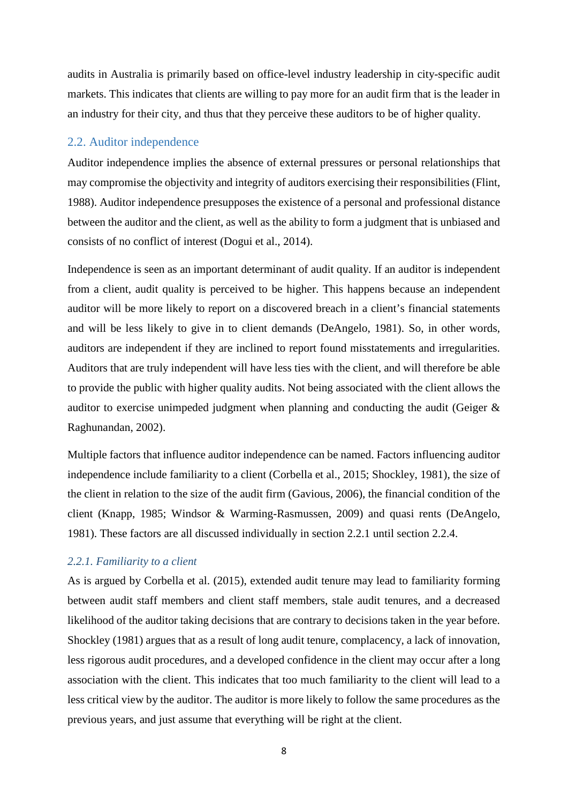audits in Australia is primarily based on office-level industry leadership in city-specific audit markets. This indicates that clients are willing to pay more for an audit firm that is the leader in an industry for their city, and thus that they perceive these auditors to be of higher quality.

#### <span id="page-7-0"></span>2.2. Auditor independence

Auditor independence implies the absence of external pressures or personal relationships that may compromise the objectivity and integrity of auditors exercising their responsibilities (Flint, 1988). Auditor independence presupposes the existence of a personal and professional distance between the auditor and the client, as well as the ability to form a judgment that is unbiased and consists of no conflict of interest (Dogui et al., 2014).

Independence is seen as an important determinant of audit quality. If an auditor is independent from a client, audit quality is perceived to be higher. This happens because an independent auditor will be more likely to report on a discovered breach in a client's financial statements and will be less likely to give in to client demands (DeAngelo, 1981). So, in other words, auditors are independent if they are inclined to report found misstatements and irregularities. Auditors that are truly independent will have less ties with the client, and will therefore be able to provide the public with higher quality audits. Not being associated with the client allows the auditor to exercise unimpeded judgment when planning and conducting the audit (Geiger & Raghunandan, 2002).

Multiple factors that influence auditor independence can be named. Factors influencing auditor independence include familiarity to a client (Corbella et al., 2015; Shockley, 1981), the size of the client in relation to the size of the audit firm (Gavious, 2006), the financial condition of the client (Knapp, 1985; Windsor & Warming-Rasmussen, 2009) and quasi rents (DeAngelo, 1981). These factors are all discussed individually in section 2.2.1 until section 2.2.4.

#### <span id="page-7-1"></span>*2.2.1. Familiarity to a client*

As is argued by Corbella et al. (2015), extended audit tenure may lead to familiarity forming between audit staff members and client staff members, stale audit tenures, and a decreased likelihood of the auditor taking decisions that are contrary to decisions taken in the year before. Shockley (1981) argues that as a result of long audit tenure, complacency, a lack of innovation, less rigorous audit procedures, and a developed confidence in the client may occur after a long association with the client. This indicates that too much familiarity to the client will lead to a less critical view by the auditor. The auditor is more likely to follow the same procedures as the previous years, and just assume that everything will be right at the client.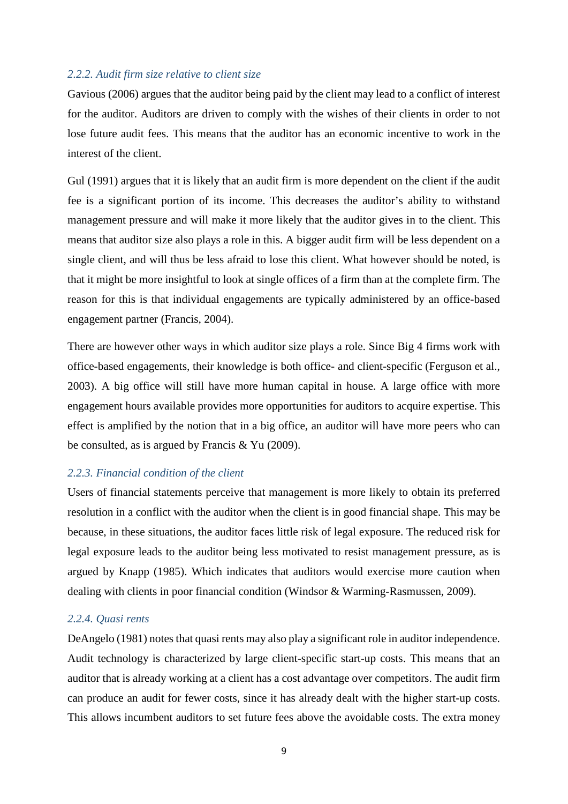#### <span id="page-8-0"></span>*2.2.2. Audit firm size relative to client size*

Gavious (2006) argues that the auditor being paid by the client may lead to a conflict of interest for the auditor. Auditors are driven to comply with the wishes of their clients in order to not lose future audit fees. This means that the auditor has an economic incentive to work in the interest of the client.

Gul (1991) argues that it is likely that an audit firm is more dependent on the client if the audit fee is a significant portion of its income. This decreases the auditor's ability to withstand management pressure and will make it more likely that the auditor gives in to the client. This means that auditor size also plays a role in this. A bigger audit firm will be less dependent on a single client, and will thus be less afraid to lose this client. What however should be noted, is that it might be more insightful to look at single offices of a firm than at the complete firm. The reason for this is that individual engagements are typically administered by an office-based engagement partner (Francis, 2004).

There are however other ways in which auditor size plays a role. Since Big 4 firms work with office-based engagements, their knowledge is both office- and client-specific (Ferguson et al., 2003). A big office will still have more human capital in house. A large office with more engagement hours available provides more opportunities for auditors to acquire expertise. This effect is amplified by the notion that in a big office, an auditor will have more peers who can be consulted, as is argued by Francis & Yu (2009).

#### *2.2.3. Financial condition of the client*

Users of financial statements perceive that management is more likely to obtain its preferred resolution in a conflict with the auditor when the client is in good financial shape. This may be because, in these situations, the auditor faces little risk of legal exposure. The reduced risk for legal exposure leads to the auditor being less motivated to resist management pressure, as is argued by Knapp (1985). Which indicates that auditors would exercise more caution when dealing with clients in poor financial condition (Windsor & Warming-Rasmussen, 2009).

#### <span id="page-8-1"></span>*2.2.4. Quasi rents*

DeAngelo (1981) notes that quasi rents may also play a significant role in auditor independence. Audit technology is characterized by large client-specific start-up costs. This means that an auditor that is already working at a client has a cost advantage over competitors. The audit firm can produce an audit for fewer costs, since it has already dealt with the higher start-up costs. This allows incumbent auditors to set future fees above the avoidable costs. The extra money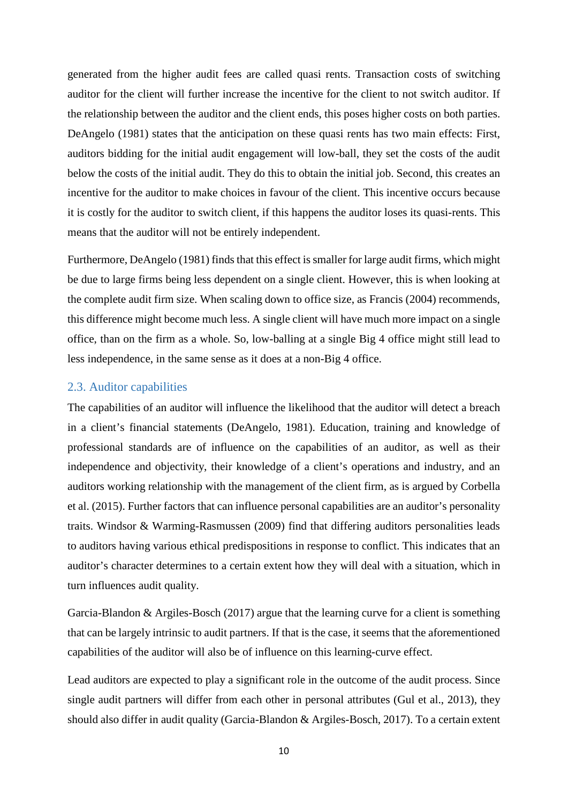generated from the higher audit fees are called quasi rents. Transaction costs of switching auditor for the client will further increase the incentive for the client to not switch auditor. If the relationship between the auditor and the client ends, this poses higher costs on both parties. DeAngelo (1981) states that the anticipation on these quasi rents has two main effects: First, auditors bidding for the initial audit engagement will low-ball, they set the costs of the audit below the costs of the initial audit. They do this to obtain the initial job. Second, this creates an incentive for the auditor to make choices in favour of the client. This incentive occurs because it is costly for the auditor to switch client, if this happens the auditor loses its quasi-rents. This means that the auditor will not be entirely independent.

Furthermore, DeAngelo (1981) finds that this effect is smaller for large audit firms, which might be due to large firms being less dependent on a single client. However, this is when looking at the complete audit firm size. When scaling down to office size, as Francis (2004) recommends, this difference might become much less. A single client will have much more impact on a single office, than on the firm as a whole. So, low-balling at a single Big 4 office might still lead to less independence, in the same sense as it does at a non-Big 4 office.

#### <span id="page-9-0"></span>2.3. Auditor capabilities

The capabilities of an auditor will influence the likelihood that the auditor will detect a breach in a client's financial statements (DeAngelo, 1981). Education, training and knowledge of professional standards are of influence on the capabilities of an auditor, as well as their independence and objectivity, their knowledge of a client's operations and industry, and an auditors working relationship with the management of the client firm, as is argued by Corbella et al. (2015). Further factors that can influence personal capabilities are an auditor's personality traits. Windsor & Warming-Rasmussen (2009) find that differing auditors personalities leads to auditors having various ethical predispositions in response to conflict. This indicates that an auditor's character determines to a certain extent how they will deal with a situation, which in turn influences audit quality.

Garcia-Blandon & Argiles-Bosch (2017) argue that the learning curve for a client is something that can be largely intrinsic to audit partners. If that is the case, it seems that the aforementioned capabilities of the auditor will also be of influence on this learning-curve effect.

Lead auditors are expected to play a significant role in the outcome of the audit process. Since single audit partners will differ from each other in personal attributes (Gul et al., 2013), they should also differ in audit quality (Garcia-Blandon & Argiles-Bosch, 2017). To a certain extent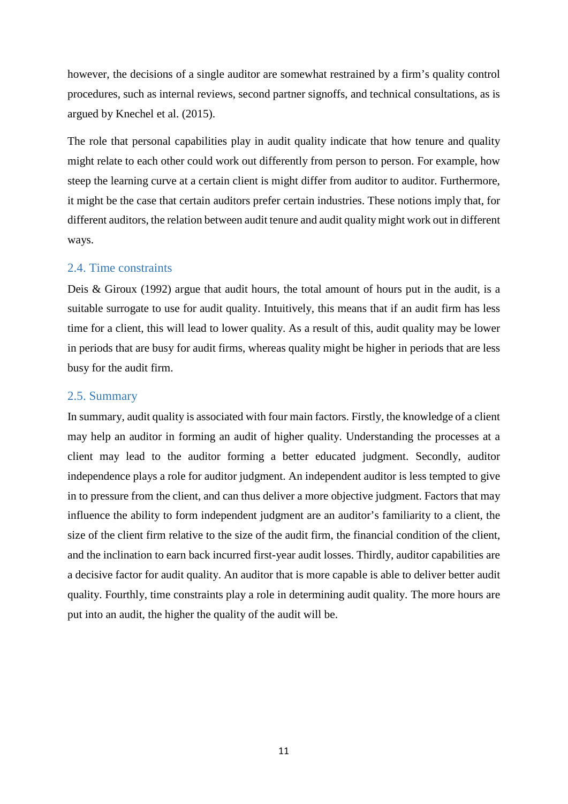however, the decisions of a single auditor are somewhat restrained by a firm's quality control procedures, such as internal reviews, second partner signoffs, and technical consultations, as is argued by Knechel et al. (2015).

The role that personal capabilities play in audit quality indicate that how tenure and quality might relate to each other could work out differently from person to person. For example, how steep the learning curve at a certain client is might differ from auditor to auditor. Furthermore, it might be the case that certain auditors prefer certain industries. These notions imply that, for different auditors, the relation between audit tenure and audit quality might work out in different ways.

#### <span id="page-10-0"></span>2.4. Time constraints

Deis & Giroux (1992) argue that audit hours, the total amount of hours put in the audit, is a suitable surrogate to use for audit quality. Intuitively, this means that if an audit firm has less time for a client, this will lead to lower quality. As a result of this, audit quality may be lower in periods that are busy for audit firms, whereas quality might be higher in periods that are less busy for the audit firm.

#### <span id="page-10-1"></span>2.5. Summary

In summary, audit quality is associated with four main factors. Firstly, the knowledge of a client may help an auditor in forming an audit of higher quality. Understanding the processes at a client may lead to the auditor forming a better educated judgment. Secondly, auditor independence plays a role for auditor judgment. An independent auditor is less tempted to give in to pressure from the client, and can thus deliver a more objective judgment. Factors that may influence the ability to form independent judgment are an auditor's familiarity to a client, the size of the client firm relative to the size of the audit firm, the financial condition of the client, and the inclination to earn back incurred first-year audit losses. Thirdly, auditor capabilities are a decisive factor for audit quality. An auditor that is more capable is able to deliver better audit quality. Fourthly, time constraints play a role in determining audit quality. The more hours are put into an audit, the higher the quality of the audit will be.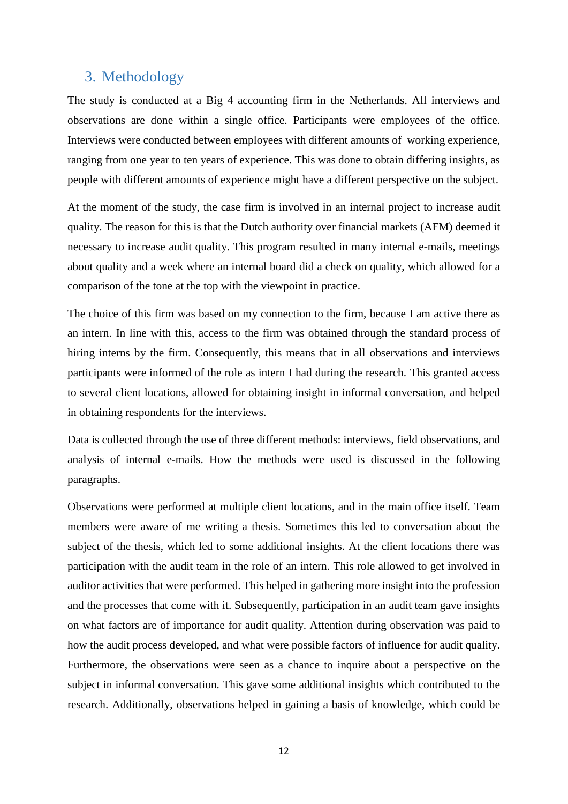## <span id="page-11-0"></span>3. Methodology

The study is conducted at a Big 4 accounting firm in the Netherlands. All interviews and observations are done within a single office. Participants were employees of the office. Interviews were conducted between employees with different amounts of working experience, ranging from one year to ten years of experience. This was done to obtain differing insights, as people with different amounts of experience might have a different perspective on the subject.

At the moment of the study, the case firm is involved in an internal project to increase audit quality. The reason for this is that the Dutch authority over financial markets (AFM) deemed it necessary to increase audit quality. This program resulted in many internal e-mails, meetings about quality and a week where an internal board did a check on quality, which allowed for a comparison of the tone at the top with the viewpoint in practice.

The choice of this firm was based on my connection to the firm, because I am active there as an intern. In line with this, access to the firm was obtained through the standard process of hiring interns by the firm. Consequently, this means that in all observations and interviews participants were informed of the role as intern I had during the research. This granted access to several client locations, allowed for obtaining insight in informal conversation, and helped in obtaining respondents for the interviews.

Data is collected through the use of three different methods: interviews, field observations, and analysis of internal e-mails. How the methods were used is discussed in the following paragraphs.

Observations were performed at multiple client locations, and in the main office itself. Team members were aware of me writing a thesis. Sometimes this led to conversation about the subject of the thesis, which led to some additional insights. At the client locations there was participation with the audit team in the role of an intern. This role allowed to get involved in auditor activities that were performed. This helped in gathering more insight into the profession and the processes that come with it. Subsequently, participation in an audit team gave insights on what factors are of importance for audit quality. Attention during observation was paid to how the audit process developed, and what were possible factors of influence for audit quality. Furthermore, the observations were seen as a chance to inquire about a perspective on the subject in informal conversation. This gave some additional insights which contributed to the research. Additionally, observations helped in gaining a basis of knowledge, which could be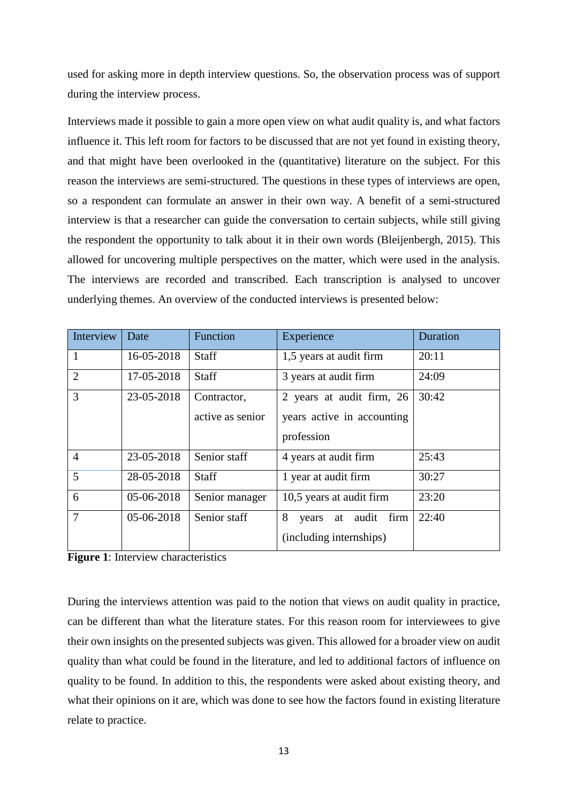used for asking more in depth interview questions. So, the observation process was of support during the interview process.

Interviews made it possible to gain a more open view on what audit quality is, and what factors influence it. This left room for factors to be discussed that are not yet found in existing theory, and that might have been overlooked in the (quantitative) literature on the subject. For this reason the interviews are semi-structured. The questions in these types of interviews are open, so a respondent can formulate an answer in their own way. A benefit of a semi-structured interview is that a researcher can guide the conversation to certain subjects, while still giving the respondent the opportunity to talk about it in their own words (Bleijenbergh, 2015). This allowed for uncovering multiple perspectives on the matter, which were used in the analysis. The interviews are recorded and transcribed. Each transcription is analysed to uncover underlying themes. An overview of the conducted interviews is presented below:

| Interview      | Date         | Function         | Experience                 | Duration |
|----------------|--------------|------------------|----------------------------|----------|
| 1              | 16-05-2018   | <b>Staff</b>     | 1,5 years at audit firm    | 20:11    |
| $\overline{2}$ | 17-05-2018   | <b>Staff</b>     | 3 years at audit firm      |          |
| 3              | 23-05-2018   | Contractor,      | 2 years at audit firm, 26  | 30:42    |
|                |              | active as senior | years active in accounting |          |
|                |              |                  | profession                 |          |
| $\overline{4}$ | 23-05-2018   | Senior staff     | 4 years at audit firm      | 25:43    |
| 5              | 28-05-2018   | <b>Staff</b>     | 1 year at audit firm       | 30:27    |
| 6              | $05-06-2018$ | Senior manager   | 10,5 years at audit firm   | 23:20    |
| $\overline{7}$ | 05-06-2018   | Senior staff     | 8<br>years at audit firm   | 22:40    |
|                |              |                  | (including internships)    |          |

**Figure 1**: Interview characteristics

During the interviews attention was paid to the notion that views on audit quality in practice, can be different than what the literature states. For this reason room for interviewees to give their own insights on the presented subjects was given. This allowed for a broader view on audit quality than what could be found in the literature, and led to additional factors of influence on quality to be found. In addition to this, the respondents were asked about existing theory, and what their opinions on it are, which was done to see how the factors found in existing literature relate to practice.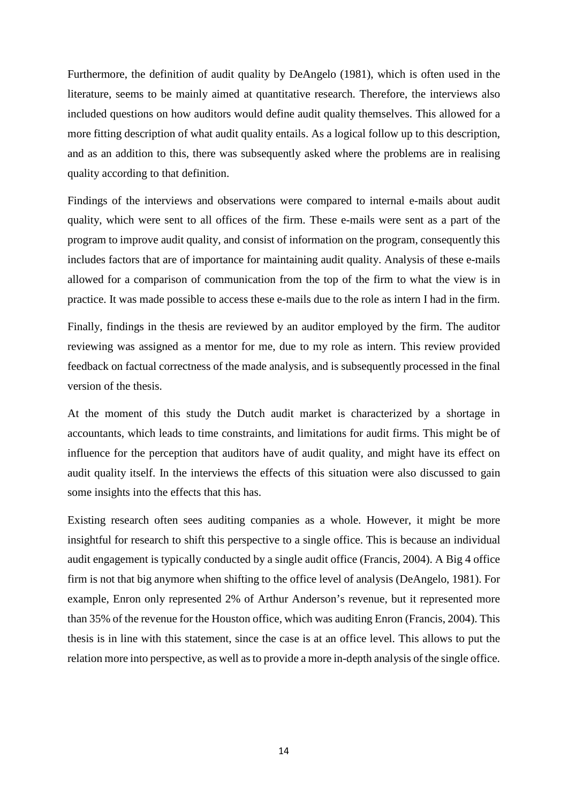Furthermore, the definition of audit quality by DeAngelo (1981), which is often used in the literature, seems to be mainly aimed at quantitative research. Therefore, the interviews also included questions on how auditors would define audit quality themselves. This allowed for a more fitting description of what audit quality entails. As a logical follow up to this description, and as an addition to this, there was subsequently asked where the problems are in realising quality according to that definition.

Findings of the interviews and observations were compared to internal e-mails about audit quality, which were sent to all offices of the firm. These e-mails were sent as a part of the program to improve audit quality, and consist of information on the program, consequently this includes factors that are of importance for maintaining audit quality. Analysis of these e-mails allowed for a comparison of communication from the top of the firm to what the view is in practice. It was made possible to access these e-mails due to the role as intern I had in the firm.

Finally, findings in the thesis are reviewed by an auditor employed by the firm. The auditor reviewing was assigned as a mentor for me, due to my role as intern. This review provided feedback on factual correctness of the made analysis, and is subsequently processed in the final version of the thesis.

At the moment of this study the Dutch audit market is characterized by a shortage in accountants, which leads to time constraints, and limitations for audit firms. This might be of influence for the perception that auditors have of audit quality, and might have its effect on audit quality itself. In the interviews the effects of this situation were also discussed to gain some insights into the effects that this has.

Existing research often sees auditing companies as a whole. However, it might be more insightful for research to shift this perspective to a single office. This is because an individual audit engagement is typically conducted by a single audit office (Francis, 2004). A Big 4 office firm is not that big anymore when shifting to the office level of analysis (DeAngelo, 1981). For example, Enron only represented 2% of Arthur Anderson's revenue, but it represented more than 35% of the revenue for the Houston office, which was auditing Enron (Francis, 2004). This thesis is in line with this statement, since the case is at an office level. This allows to put the relation more into perspective, as well as to provide a more in-depth analysis of the single office.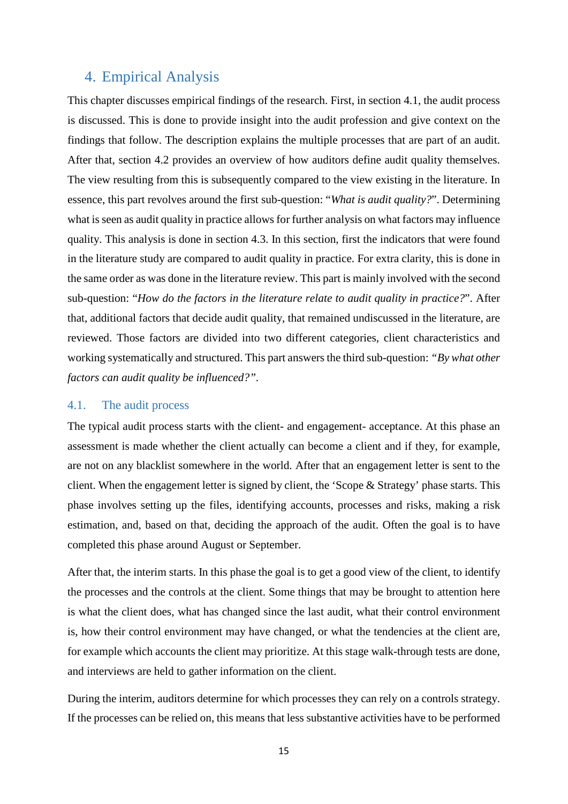## <span id="page-14-0"></span>4. Empirical Analysis

This chapter discusses empirical findings of the research. First, in section 4.1, the audit process is discussed. This is done to provide insight into the audit profession and give context on the findings that follow. The description explains the multiple processes that are part of an audit. After that, section 4.2 provides an overview of how auditors define audit quality themselves. The view resulting from this is subsequently compared to the view existing in the literature. In essence, this part revolves around the first sub-question: "*What is audit quality?*". Determining what is seen as audit quality in practice allows for further analysis on what factors may influence quality. This analysis is done in section 4.3. In this section, first the indicators that were found in the literature study are compared to audit quality in practice. For extra clarity, this is done in the same order as was done in the literature review. This part is mainly involved with the second sub-question: "*How do the factors in the literature relate to audit quality in practice?*". After that, additional factors that decide audit quality, that remained undiscussed in the literature, are reviewed. Those factors are divided into two different categories, client characteristics and working systematically and structured. This part answers the third sub-question: *"By what other factors can audit quality be influenced?".*

#### <span id="page-14-1"></span>4.1. The audit process

The typical audit process starts with the client- and engagement- acceptance. At this phase an assessment is made whether the client actually can become a client and if they, for example, are not on any blacklist somewhere in the world. After that an engagement letter is sent to the client. When the engagement letter is signed by client, the 'Scope & Strategy' phase starts. This phase involves setting up the files, identifying accounts, processes and risks, making a risk estimation, and, based on that, deciding the approach of the audit. Often the goal is to have completed this phase around August or September.

After that, the interim starts. In this phase the goal is to get a good view of the client, to identify the processes and the controls at the client. Some things that may be brought to attention here is what the client does, what has changed since the last audit, what their control environment is, how their control environment may have changed, or what the tendencies at the client are, for example which accounts the client may prioritize. At this stage walk-through tests are done, and interviews are held to gather information on the client.

During the interim, auditors determine for which processes they can rely on a controls strategy. If the processes can be relied on, this means that less substantive activities have to be performed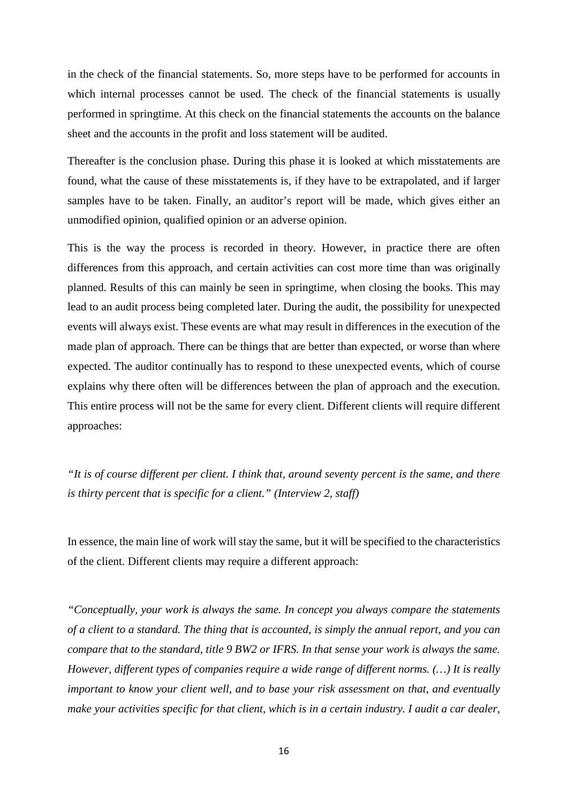in the check of the financial statements. So, more steps have to be performed for accounts in which internal processes cannot be used. The check of the financial statements is usually performed in springtime. At this check on the financial statements the accounts on the balance sheet and the accounts in the profit and loss statement will be audited.

Thereafter is the conclusion phase. During this phase it is looked at which misstatements are found, what the cause of these misstatements is, if they have to be extrapolated, and if larger samples have to be taken. Finally, an auditor's report will be made, which gives either an unmodified opinion, qualified opinion or an adverse opinion.

This is the way the process is recorded in theory. However, in practice there are often differences from this approach, and certain activities can cost more time than was originally planned. Results of this can mainly be seen in springtime, when closing the books. This may lead to an audit process being completed later. During the audit, the possibility for unexpected events will always exist. These events are what may result in differences in the execution of the made plan of approach. There can be things that are better than expected, or worse than where expected. The auditor continually has to respond to these unexpected events, which of course explains why there often will be differences between the plan of approach and the execution. This entire process will not be the same for every client. Different clients will require different approaches:

*"It is of course different per client. I think that, around seventy percent is the same, and there is thirty percent that is specific for a client." (Interview 2, staff)* 

In essence, the main line of work will stay the same, but it will be specified to the characteristics of the client. Different clients may require a different approach:

*"Conceptually, your work is always the same. In concept you always compare the statements of a client to a standard. The thing that is accounted, is simply the annual report, and you can compare that to the standard, title 9 BW2 or IFRS. In that sense your work is always the same. However, different types of companies require a wide range of different norms. (…) It is really important to know your client well, and to base your risk assessment on that, and eventually make your activities specific for that client, which is in a certain industry. I audit a car dealer,*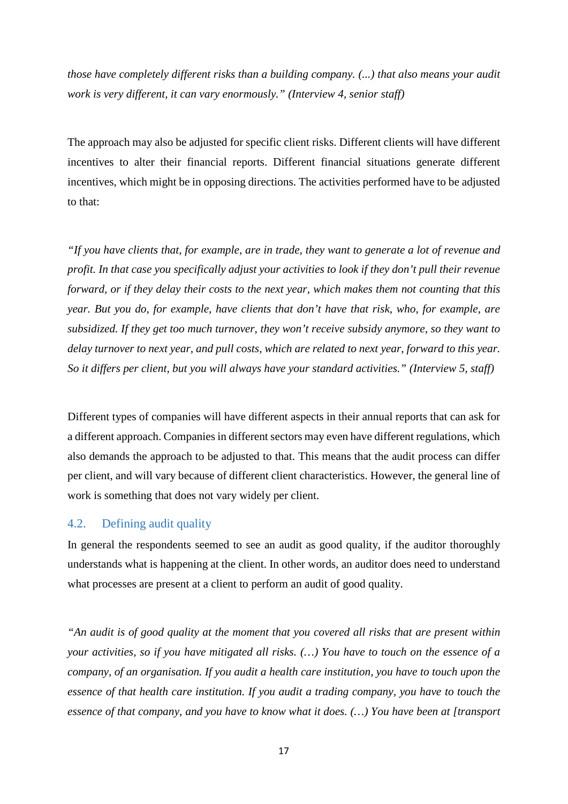*those have completely different risks than a building company. (...) that also means your audit work is very different, it can vary enormously." (Interview 4, senior staff)*

The approach may also be adjusted for specific client risks. Different clients will have different incentives to alter their financial reports. Different financial situations generate different incentives, which might be in opposing directions. The activities performed have to be adjusted to that:

*"If you have clients that, for example, are in trade, they want to generate a lot of revenue and profit. In that case you specifically adjust your activities to look if they don't pull their revenue forward, or if they delay their costs to the next year, which makes them not counting that this year. But you do, for example, have clients that don't have that risk, who, for example, are subsidized. If they get too much turnover, they won't receive subsidy anymore, so they want to delay turnover to next year, and pull costs, which are related to next year, forward to this year. So it differs per client, but you will always have your standard activities." (Interview 5, staff)*

Different types of companies will have different aspects in their annual reports that can ask for a different approach. Companies in different sectors may even have different regulations, which also demands the approach to be adjusted to that. This means that the audit process can differ per client, and will vary because of different client characteristics. However, the general line of work is something that does not vary widely per client.

#### <span id="page-16-0"></span>4.2. Defining audit quality

In general the respondents seemed to see an audit as good quality, if the auditor thoroughly understands what is happening at the client. In other words, an auditor does need to understand what processes are present at a client to perform an audit of good quality.

*"An audit is of good quality at the moment that you covered all risks that are present within your activities, so if you have mitigated all risks. (…) You have to touch on the essence of a company, of an organisation. If you audit a health care institution, you have to touch upon the essence of that health care institution. If you audit a trading company, you have to touch the essence of that company, and you have to know what it does. (…) You have been at [transport*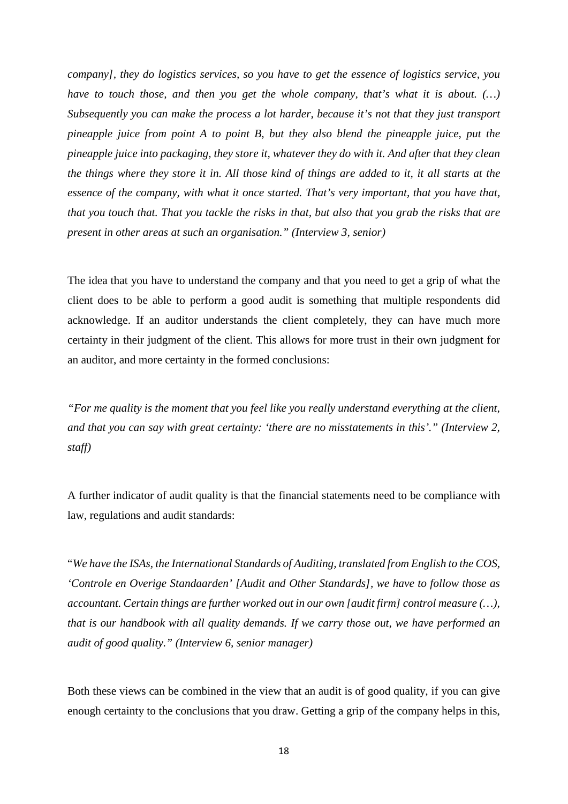*company], they do logistics services, so you have to get the essence of logistics service, you have to touch those, and then you get the whole company, that's what it is about.* (...) *Subsequently you can make the process a lot harder, because it's not that they just transport pineapple juice from point A to point B, but they also blend the pineapple juice, put the pineapple juice into packaging, they store it, whatever they do with it. And after that they clean the things where they store it in. All those kind of things are added to it, it all starts at the essence of the company, with what it once started. That's very important, that you have that, that you touch that. That you tackle the risks in that, but also that you grab the risks that are present in other areas at such an organisation." (Interview 3, senior)*

The idea that you have to understand the company and that you need to get a grip of what the client does to be able to perform a good audit is something that multiple respondents did acknowledge. If an auditor understands the client completely, they can have much more certainty in their judgment of the client. This allows for more trust in their own judgment for an auditor, and more certainty in the formed conclusions:

*"For me quality is the moment that you feel like you really understand everything at the client, and that you can say with great certainty: 'there are no misstatements in this'." (Interview 2, staff)*

A further indicator of audit quality is that the financial statements need to be compliance with law, regulations and audit standards:

"*We have the ISAs, the International Standards of Auditing, translated from English to the COS, 'Controle en Overige Standaarden' [Audit and Other Standards], we have to follow those as accountant. Certain things are further worked out in our own [audit firm] control measure (…), that is our handbook with all quality demands. If we carry those out, we have performed an audit of good quality." (Interview 6, senior manager)*

Both these views can be combined in the view that an audit is of good quality, if you can give enough certainty to the conclusions that you draw. Getting a grip of the company helps in this,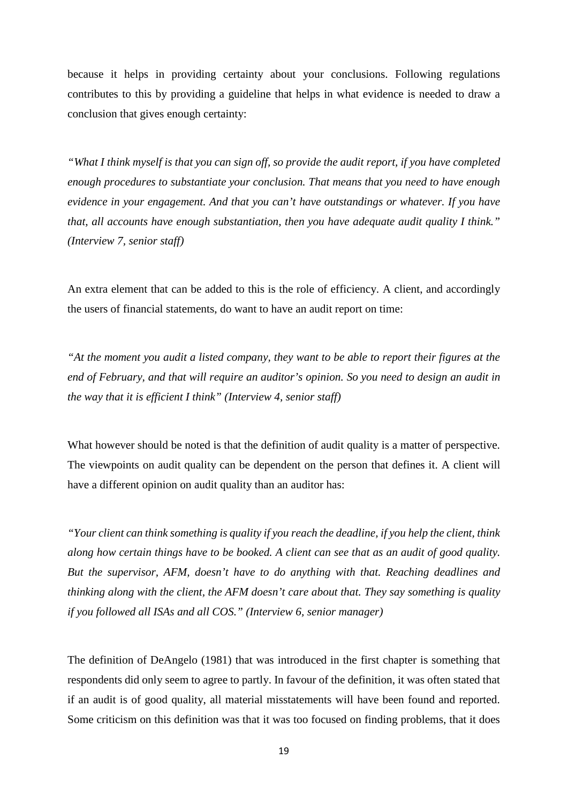because it helps in providing certainty about your conclusions. Following regulations contributes to this by providing a guideline that helps in what evidence is needed to draw a conclusion that gives enough certainty:

*"What I think myself is that you can sign off, so provide the audit report, if you have completed enough procedures to substantiate your conclusion. That means that you need to have enough evidence in your engagement. And that you can't have outstandings or whatever. If you have that, all accounts have enough substantiation, then you have adequate audit quality I think." (Interview 7, senior staff)*

An extra element that can be added to this is the role of efficiency. A client, and accordingly the users of financial statements, do want to have an audit report on time:

*"At the moment you audit a listed company, they want to be able to report their figures at the end of February, and that will require an auditor's opinion. So you need to design an audit in the way that it is efficient I think" (Interview 4, senior staff)*

What however should be noted is that the definition of audit quality is a matter of perspective. The viewpoints on audit quality can be dependent on the person that defines it. A client will have a different opinion on audit quality than an auditor has:

*"Your client can think something is quality if you reach the deadline, if you help the client, think along how certain things have to be booked. A client can see that as an audit of good quality. But the supervisor, AFM, doesn't have to do anything with that. Reaching deadlines and thinking along with the client, the AFM doesn't care about that. They say something is quality if you followed all ISAs and all COS." (Interview 6, senior manager)*

The definition of DeAngelo (1981) that was introduced in the first chapter is something that respondents did only seem to agree to partly. In favour of the definition, it was often stated that if an audit is of good quality, all material misstatements will have been found and reported. Some criticism on this definition was that it was too focused on finding problems, that it does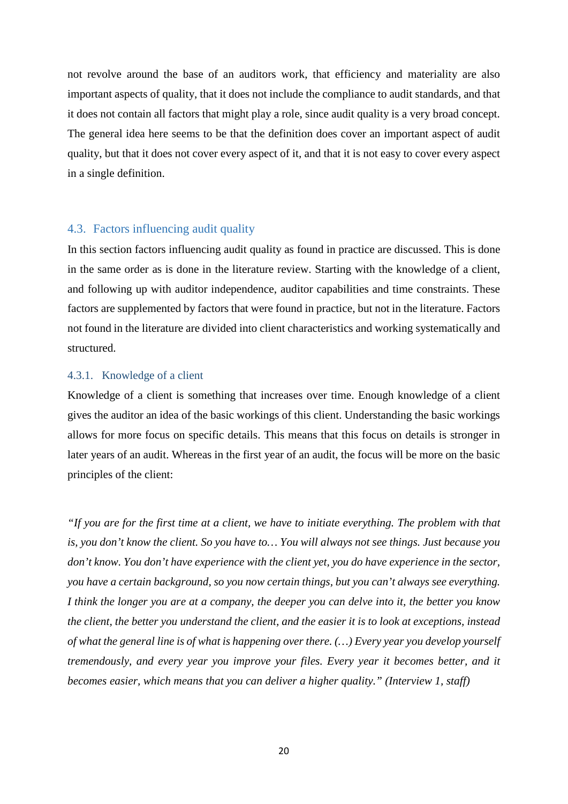not revolve around the base of an auditors work, that efficiency and materiality are also important aspects of quality, that it does not include the compliance to audit standards, and that it does not contain all factors that might play a role, since audit quality is a very broad concept. The general idea here seems to be that the definition does cover an important aspect of audit quality, but that it does not cover every aspect of it, and that it is not easy to cover every aspect in a single definition.

#### <span id="page-19-0"></span>4.3. Factors influencing audit quality

In this section factors influencing audit quality as found in practice are discussed. This is done in the same order as is done in the literature review. Starting with the knowledge of a client, and following up with auditor independence, auditor capabilities and time constraints. These factors are supplemented by factors that were found in practice, but not in the literature. Factors not found in the literature are divided into client characteristics and working systematically and structured.

#### <span id="page-19-1"></span>4.3.1. Knowledge of a client

Knowledge of a client is something that increases over time. Enough knowledge of a client gives the auditor an idea of the basic workings of this client. Understanding the basic workings allows for more focus on specific details. This means that this focus on details is stronger in later years of an audit. Whereas in the first year of an audit, the focus will be more on the basic principles of the client:

*"If you are for the first time at a client, we have to initiate everything. The problem with that is, you don't know the client. So you have to… You will always not see things. Just because you don't know. You don't have experience with the client yet, you do have experience in the sector, you have a certain background, so you now certain things, but you can't always see everything. I think the longer you are at a company, the deeper you can delve into it, the better you know the client, the better you understand the client, and the easier it is to look at exceptions, instead of what the general line is of what is happening over there. (…) Every year you develop yourself tremendously, and every year you improve your files. Every year it becomes better, and it becomes easier, which means that you can deliver a higher quality." (Interview 1, staff)*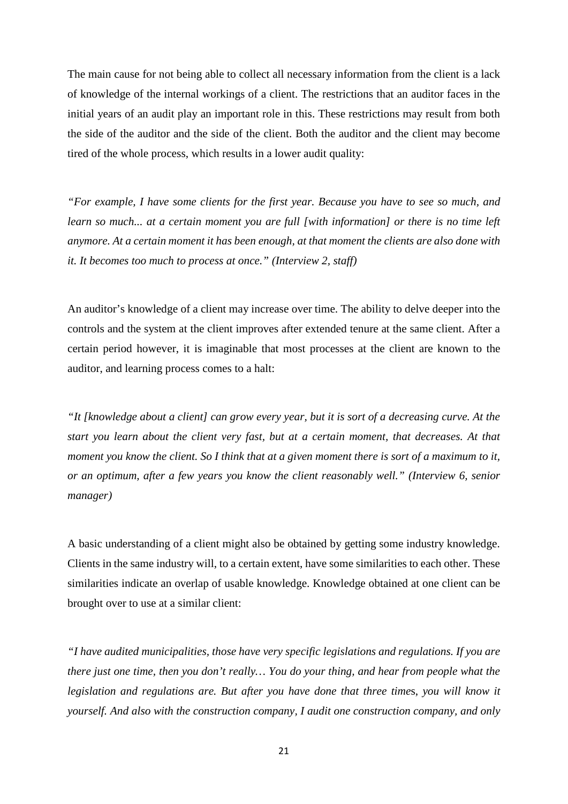The main cause for not being able to collect all necessary information from the client is a lack of knowledge of the internal workings of a client. The restrictions that an auditor faces in the initial years of an audit play an important role in this. These restrictions may result from both the side of the auditor and the side of the client. Both the auditor and the client may become tired of the whole process, which results in a lower audit quality:

*"For example, I have some clients for the first year. Because you have to see so much, and learn so much... at a certain moment you are full [with information] or there is no time left anymore. At a certain moment it has been enough, at that moment the clients are also done with it. It becomes too much to process at once." (Interview 2, staff)*

An auditor's knowledge of a client may increase over time. The ability to delve deeper into the controls and the system at the client improves after extended tenure at the same client. After a certain period however, it is imaginable that most processes at the client are known to the auditor, and learning process comes to a halt:

*"It [knowledge about a client] can grow every year, but it is sort of a decreasing curve. At the start you learn about the client very fast, but at a certain moment, that decreases. At that moment you know the client. So I think that at a given moment there is sort of a maximum to it, or an optimum, after a few years you know the client reasonably well." (Interview 6, senior manager)*

A basic understanding of a client might also be obtained by getting some industry knowledge. Clients in the same industry will, to a certain extent, have some similarities to each other. These similarities indicate an overlap of usable knowledge. Knowledge obtained at one client can be brought over to use at a similar client:

*"I have audited municipalities, those have very specific legislations and regulations. If you are there just one time, then you don't really… You do your thing, and hear from people what the legislation and regulations are. But after you have done that three time*s, *you will know it yourself. And also with the construction company, I audit one construction company, and only*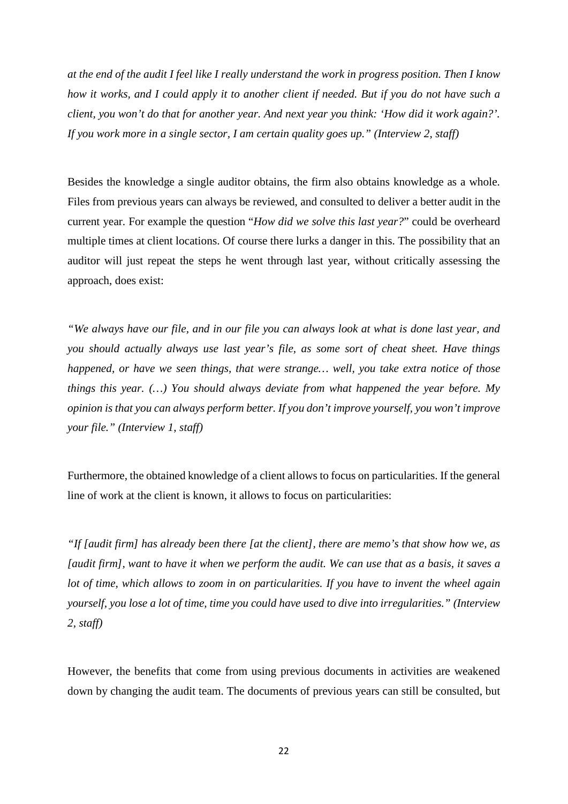*at the end of the audit I feel like I really understand the work in progress position. Then I know how it works, and I could apply it to another client if needed. But if you do not have such a client, you won't do that for another year. And next year you think: 'How did it work again?'. If you work more in a single sector, I am certain quality goes up." (Interview 2, staff)*

Besides the knowledge a single auditor obtains, the firm also obtains knowledge as a whole. Files from previous years can always be reviewed, and consulted to deliver a better audit in the current year. For example the question "*How did we solve this last year?*" could be overheard multiple times at client locations. Of course there lurks a danger in this. The possibility that an auditor will just repeat the steps he went through last year, without critically assessing the approach, does exist:

*"We always have our file, and in our file you can always look at what is done last year, and you should actually always use last year's file, as some sort of cheat sheet. Have things happened, or have we seen things, that were strange… well, you take extra notice of those things this year. (…) You should always deviate from what happened the year before. My opinion is that you can always perform better. If you don't improve yourself, you won't improve your file." (Interview 1, staff)*

Furthermore, the obtained knowledge of a client allows to focus on particularities. If the general line of work at the client is known, it allows to focus on particularities:

*"If [audit firm] has already been there [at the client], there are memo's that show how we, as [audit firm], want to have it when we perform the audit. We can use that as a basis, it saves a lot of time, which allows to zoom in on particularities. If you have to invent the wheel again yourself, you lose a lot of time, time you could have used to dive into irregularities." (Interview 2, staff)*

However, the benefits that come from using previous documents in activities are weakened down by changing the audit team. The documents of previous years can still be consulted, but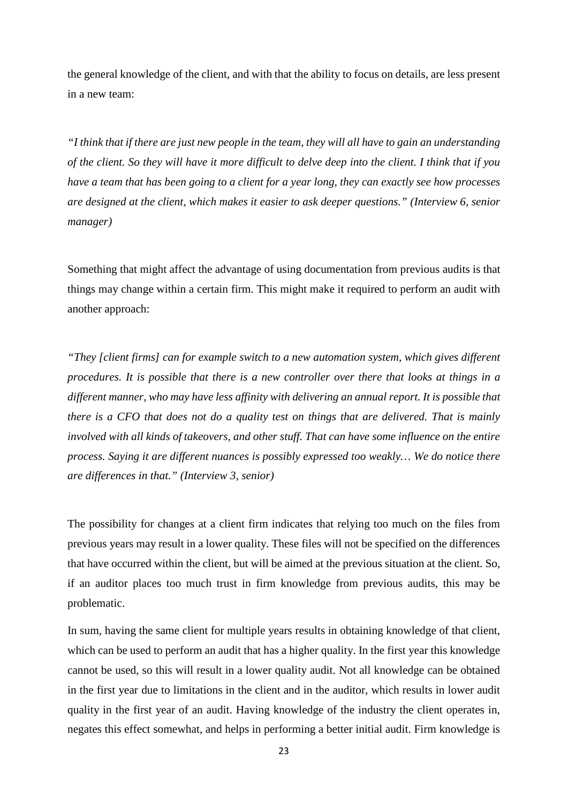the general knowledge of the client, and with that the ability to focus on details, are less present in a new team:

*"I think that if there are just new people in the team, they will all have to gain an understanding of the client. So they will have it more difficult to delve deep into the client. I think that if you have a team that has been going to a client for a year long, they can exactly see how processes are designed at the client, which makes it easier to ask deeper questions." (Interview 6, senior manager)*

Something that might affect the advantage of using documentation from previous audits is that things may change within a certain firm. This might make it required to perform an audit with another approach:

*"They [client firms] can for example switch to a new automation system, which gives different procedures. It is possible that there is a new controller over there that looks at things in a different manner, who may have less affinity with delivering an annual report. It is possible that there is a CFO that does not do a quality test on things that are delivered. That is mainly involved with all kinds of takeovers, and other stuff. That can have some influence on the entire process. Saying it are different nuances is possibly expressed too weakly… We do notice there are differences in that." (Interview 3, senior)*

The possibility for changes at a client firm indicates that relying too much on the files from previous years may result in a lower quality. These files will not be specified on the differences that have occurred within the client, but will be aimed at the previous situation at the client. So, if an auditor places too much trust in firm knowledge from previous audits, this may be problematic.

In sum, having the same client for multiple years results in obtaining knowledge of that client, which can be used to perform an audit that has a higher quality. In the first year this knowledge cannot be used, so this will result in a lower quality audit. Not all knowledge can be obtained in the first year due to limitations in the client and in the auditor, which results in lower audit quality in the first year of an audit. Having knowledge of the industry the client operates in, negates this effect somewhat, and helps in performing a better initial audit. Firm knowledge is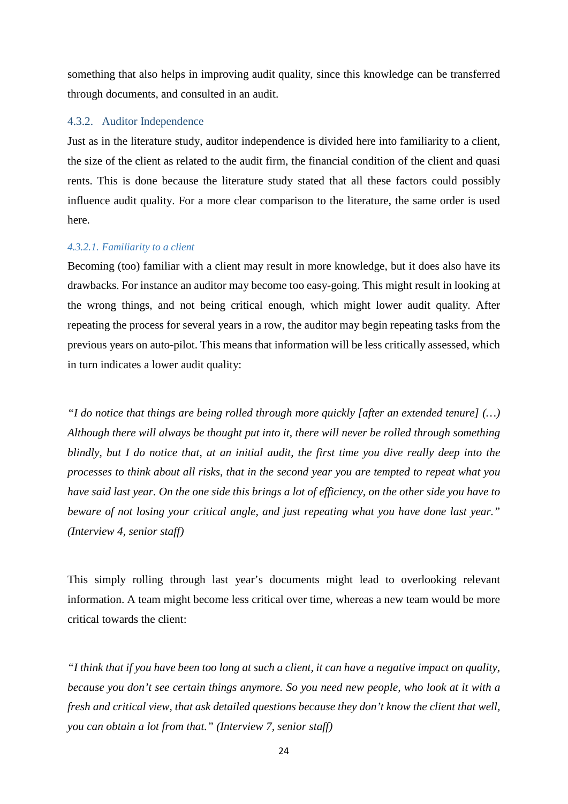something that also helps in improving audit quality, since this knowledge can be transferred through documents, and consulted in an audit.

#### <span id="page-23-0"></span>4.3.2. Auditor Independence

Just as in the literature study, auditor independence is divided here into familiarity to a client, the size of the client as related to the audit firm, the financial condition of the client and quasi rents. This is done because the literature study stated that all these factors could possibly influence audit quality. For a more clear comparison to the literature, the same order is used here.

#### *4.3.2.1. Familiarity to a client*

Becoming (too) familiar with a client may result in more knowledge, but it does also have its drawbacks. For instance an auditor may become too easy-going. This might result in looking at the wrong things, and not being critical enough, which might lower audit quality. After repeating the process for several years in a row, the auditor may begin repeating tasks from the previous years on auto-pilot. This means that information will be less critically assessed, which in turn indicates a lower audit quality:

*"I do notice that things are being rolled through more quickly [after an extended tenure] (…) Although there will always be thought put into it, there will never be rolled through something blindly, but I do notice that, at an initial audit, the first time you dive really deep into the processes to think about all risks, that in the second year you are tempted to repeat what you have said last year. On the one side this brings a lot of efficiency, on the other side you have to beware of not losing your critical angle, and just repeating what you have done last year." (Interview 4, senior staff)*

This simply rolling through last year's documents might lead to overlooking relevant information. A team might become less critical over time, whereas a new team would be more critical towards the client:

*"I think that if you have been too long at such a client, it can have a negative impact on quality, because you don't see certain things anymore. So you need new people, who look at it with a fresh and critical view, that ask detailed questions because they don't know the client that well, you can obtain a lot from that." (Interview 7, senior staff)*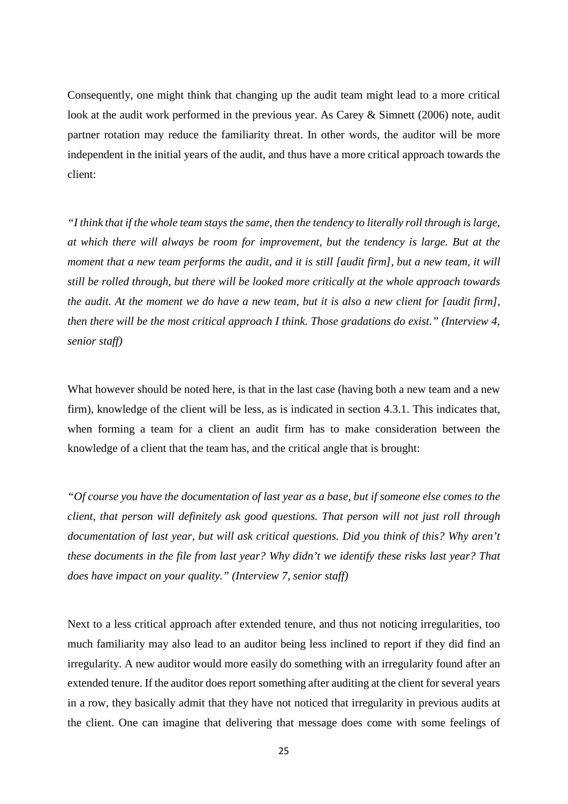Consequently, one might think that changing up the audit team might lead to a more critical look at the audit work performed in the previous year. As Carey & Simnett (2006) note, audit partner rotation may reduce the familiarity threat. In other words, the auditor will be more independent in the initial years of the audit, and thus have a more critical approach towards the client:

*"I think that if the whole team stays the same, then the tendency to literally roll through is large, at which there will always be room for improvement, but the tendency is large. But at the moment that a new team performs the audit, and it is still [audit firm], but a new team, it will still be rolled through, but there will be looked more critically at the whole approach towards the audit. At the moment we do have a new team, but it is also a new client for [audit firm], then there will be the most critical approach I think. Those gradations do exist." (Interview 4, senior staff)*

What however should be noted here, is that in the last case (having both a new team and a new firm), knowledge of the client will be less, as is indicated in section 4.3.1. This indicates that, when forming a team for a client an audit firm has to make consideration between the knowledge of a client that the team has, and the critical angle that is brought:

*"Of course you have the documentation of last year as a base, but if someone else comes to the client, that person will definitely ask good questions. That person will not just roll through documentation of last year, but will ask critical questions. Did you think of this? Why aren't these documents in the file from last year? Why didn't we identify these risks last year? That does have impact on your quality." (Interview 7, senior staff)*

Next to a less critical approach after extended tenure, and thus not noticing irregularities, too much familiarity may also lead to an auditor being less inclined to report if they did find an irregularity. A new auditor would more easily do something with an irregularity found after an extended tenure. If the auditor does report something after auditing at the client for several years in a row, they basically admit that they have not noticed that irregularity in previous audits at the client. One can imagine that delivering that message does come with some feelings of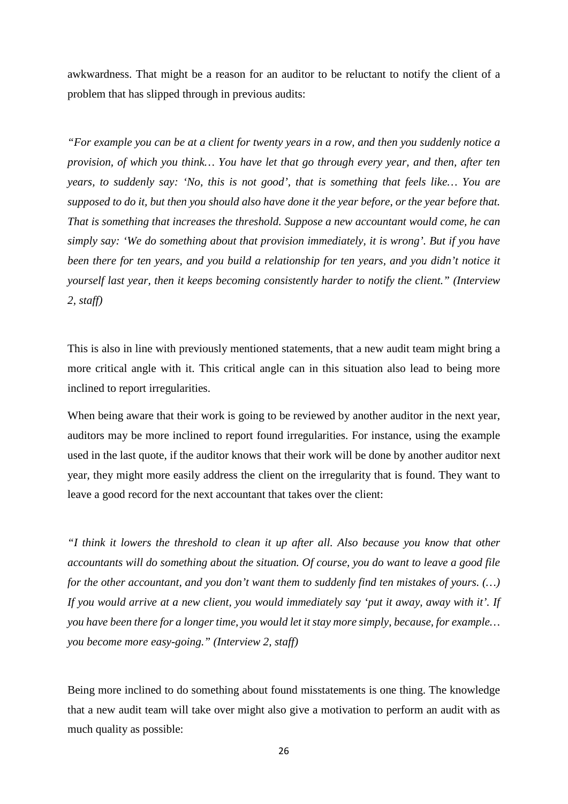awkwardness. That might be a reason for an auditor to be reluctant to notify the client of a problem that has slipped through in previous audits:

*"For example you can be at a client for twenty years in a row, and then you suddenly notice a provision, of which you think… You have let that go through every year, and then, after ten years, to suddenly say: 'No, this is not good', that is something that feels like… You are supposed to do it, but then you should also have done it the year before, or the year before that. That is something that increases the threshold. Suppose a new accountant would come, he can simply say: 'We do something about that provision immediately, it is wrong'. But if you have been there for ten years, and you build a relationship for ten years, and you didn't notice it yourself last year, then it keeps becoming consistently harder to notify the client." (Interview 2, staff)*

This is also in line with previously mentioned statements, that a new audit team might bring a more critical angle with it. This critical angle can in this situation also lead to being more inclined to report irregularities.

When being aware that their work is going to be reviewed by another auditor in the next year, auditors may be more inclined to report found irregularities. For instance, using the example used in the last quote, if the auditor knows that their work will be done by another auditor next year, they might more easily address the client on the irregularity that is found. They want to leave a good record for the next accountant that takes over the client:

*"I think it lowers the threshold to clean it up after all. Also because you know that other accountants will do something about the situation. Of course, you do want to leave a good file for the other accountant, and you don't want them to suddenly find ten mistakes of yours. (…) If you would arrive at a new client, you would immediately say 'put it away, away with it'. If you have been there for a longer time, you would let it stay more simply, because, for example… you become more easy-going." (Interview 2, staff)*

Being more inclined to do something about found misstatements is one thing. The knowledge that a new audit team will take over might also give a motivation to perform an audit with as much quality as possible: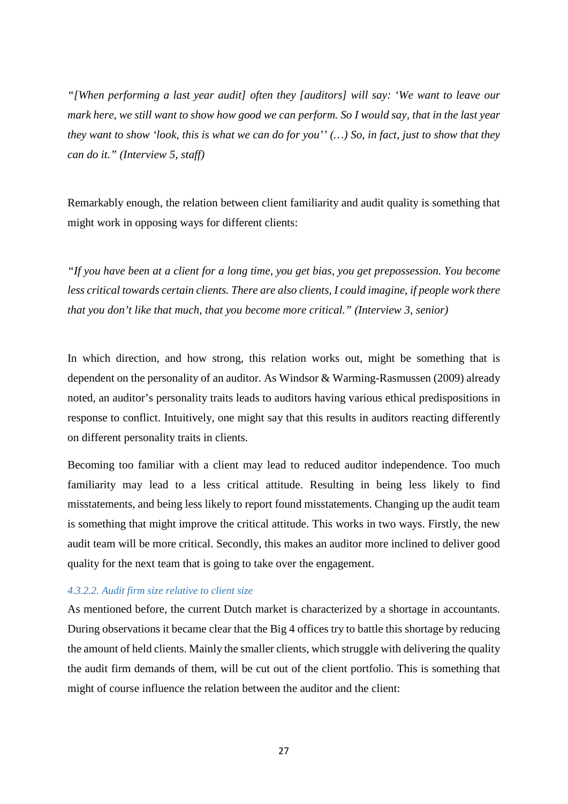*"[When performing a last year audit] often they [auditors] will say: 'We want to leave our mark here, we still want to show how good we can perform. So I would say, that in the last year they want to show 'look, this is what we can do for you'' (…) So, in fact, just to show that they can do it." (Interview 5, staff)*

Remarkably enough, the relation between client familiarity and audit quality is something that might work in opposing ways for different clients:

*"If you have been at a client for a long time, you get bias, you get prepossession. You become*  less critical towards certain clients. There are also clients, I could imagine, if people work there *that you don't like that much, that you become more critical." (Interview 3, senior)*

In which direction, and how strong, this relation works out, might be something that is dependent on the personality of an auditor. As Windsor & Warming-Rasmussen (2009) already noted, an auditor's personality traits leads to auditors having various ethical predispositions in response to conflict. Intuitively, one might say that this results in auditors reacting differently on different personality traits in clients.

Becoming too familiar with a client may lead to reduced auditor independence. Too much familiarity may lead to a less critical attitude. Resulting in being less likely to find misstatements, and being less likely to report found misstatements. Changing up the audit team is something that might improve the critical attitude. This works in two ways. Firstly, the new audit team will be more critical. Secondly, this makes an auditor more inclined to deliver good quality for the next team that is going to take over the engagement.

### *4.3.2.2. Audit firm size relative to client size*

As mentioned before, the current Dutch market is characterized by a shortage in accountants. During observations it became clear that the Big 4 offices try to battle this shortage by reducing the amount of held clients. Mainly the smaller clients, which struggle with delivering the quality the audit firm demands of them, will be cut out of the client portfolio. This is something that might of course influence the relation between the auditor and the client: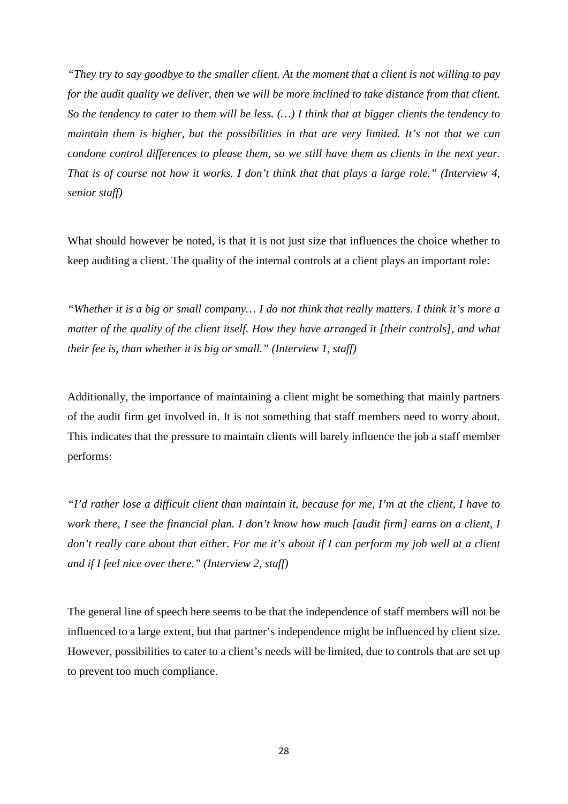*"They try to say goodbye to the smaller client. At the moment that a client is not willing to pay for the audit quality we deliver, then we will be more inclined to take distance from that client. So the tendency to cater to them will be less. (…) I think that at bigger clients the tendency to maintain them is higher, but the possibilities in that are very limited. It's not that we can condone control differences to please them, so we still have them as clients in the next year. That is of course not how it works. I don't think that that plays a large role." (Interview 4, senior staff)*

What should however be noted, is that it is not just size that influences the choice whether to keep auditing a client. The quality of the internal controls at a client plays an important role:

*"Whether it is a big or small company… I do not think that really matters. I think it's more a matter of the quality of the client itself. How they have arranged it [their controls], and what their fee is, than whether it is big or small." (Interview 1, staff)*

Additionally, the importance of maintaining a client might be something that mainly partners of the audit firm get involved in. It is not something that staff members need to worry about. This indicates that the pressure to maintain clients will barely influence the job a staff member performs:

*"I'd rather lose a difficult client than maintain it, because for me, I'm at the client, I have to work there, I see the financial plan. I don't know how much [audit firm] earns on a client, I don't really care about that either. For me it's about if I can perform my job well at a client and if I feel nice over there." (Interview 2, staff)*

The general line of speech here seems to be that the independence of staff members will not be influenced to a large extent, but that partner's independence might be influenced by client size. However, possibilities to cater to a client's needs will be limited, due to controls that are set up to prevent too much compliance.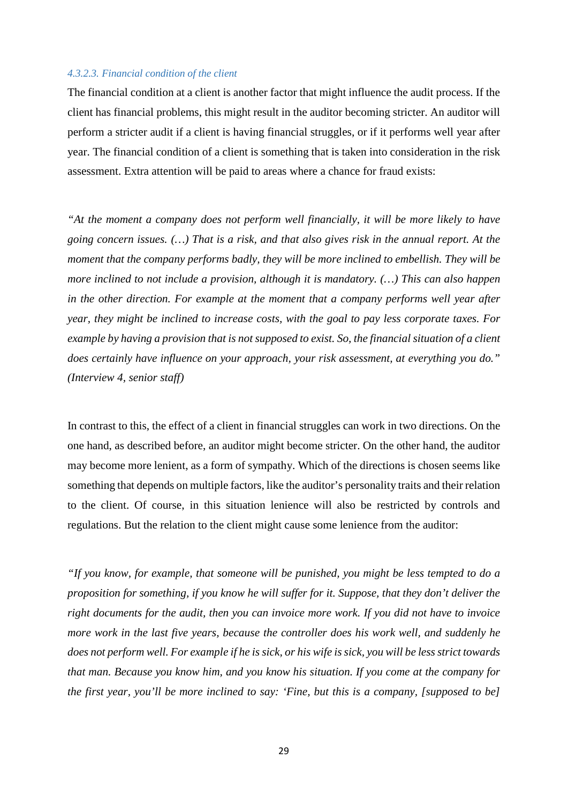#### *4.3.2.3. Financial condition of the client*

The financial condition at a client is another factor that might influence the audit process. If the client has financial problems, this might result in the auditor becoming stricter. An auditor will perform a stricter audit if a client is having financial struggles, or if it performs well year after year. The financial condition of a client is something that is taken into consideration in the risk assessment. Extra attention will be paid to areas where a chance for fraud exists:

*"At the moment a company does not perform well financially, it will be more likely to have going concern issues. (…) That is a risk, and that also gives risk in the annual report. At the moment that the company performs badly, they will be more inclined to embellish. They will be more inclined to not include a provision, although it is mandatory. (…) This can also happen in the other direction. For example at the moment that a company performs well year after year, they might be inclined to increase costs, with the goal to pay less corporate taxes. For example by having a provision that is not supposed to exist. So, the financial situation of a client does certainly have influence on your approach, your risk assessment, at everything you do." (Interview 4, senior staff)*

In contrast to this, the effect of a client in financial struggles can work in two directions. On the one hand, as described before, an auditor might become stricter. On the other hand, the auditor may become more lenient, as a form of sympathy. Which of the directions is chosen seems like something that depends on multiple factors, like the auditor's personality traits and their relation to the client. Of course, in this situation lenience will also be restricted by controls and regulations. But the relation to the client might cause some lenience from the auditor:

*"If you know, for example, that someone will be punished, you might be less tempted to do a proposition for something, if you know he will suffer for it. Suppose, that they don't deliver the right documents for the audit, then you can invoice more work. If you did not have to invoice more work in the last five years, because the controller does his work well, and suddenly he does not perform well. For example if he is sick, or his wife is sick, you will be less strict towards that man. Because you know him, and you know his situation. If you come at the company for the first year, you'll be more inclined to say: 'Fine, but this is a company, [supposed to be]*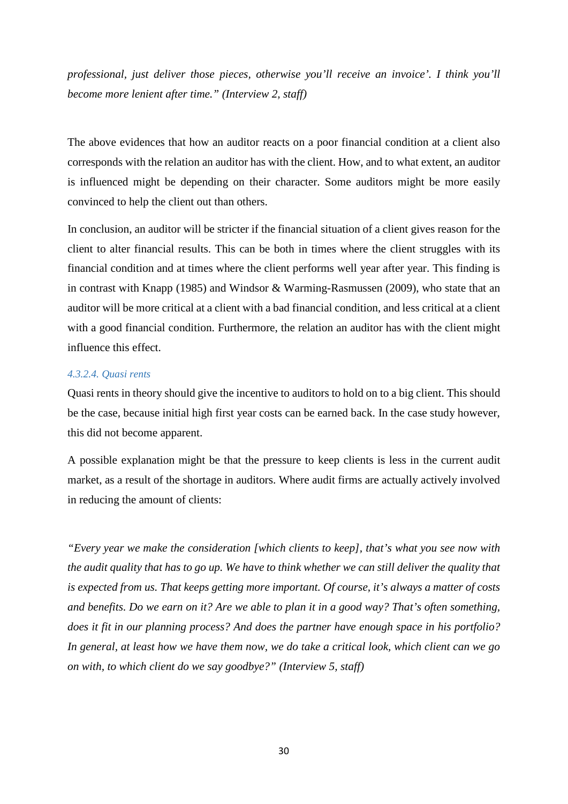*professional, just deliver those pieces, otherwise you'll receive an invoice'. I think you'll become more lenient after time." (Interview 2, staff)*

The above evidences that how an auditor reacts on a poor financial condition at a client also corresponds with the relation an auditor has with the client. How, and to what extent, an auditor is influenced might be depending on their character. Some auditors might be more easily convinced to help the client out than others.

In conclusion, an auditor will be stricter if the financial situation of a client gives reason for the client to alter financial results. This can be both in times where the client struggles with its financial condition and at times where the client performs well year after year. This finding is in contrast with Knapp (1985) and Windsor & Warming-Rasmussen (2009), who state that an auditor will be more critical at a client with a bad financial condition, and less critical at a client with a good financial condition. Furthermore, the relation an auditor has with the client might influence this effect.

#### *4.3.2.4. Quasi rents*

Quasi rents in theory should give the incentive to auditors to hold on to a big client. This should be the case, because initial high first year costs can be earned back. In the case study however, this did not become apparent.

A possible explanation might be that the pressure to keep clients is less in the current audit market, as a result of the shortage in auditors. Where audit firms are actually actively involved in reducing the amount of clients:

*"Every year we make the consideration [which clients to keep], that's what you see now with the audit quality that has to go up. We have to think whether we can still deliver the quality that is expected from us. That keeps getting more important. Of course, it's always a matter of costs and benefits. Do we earn on it? Are we able to plan it in a good way? That's often something, does it fit in our planning process? And does the partner have enough space in his portfolio? In general, at least how we have them now, we do take a critical look, which client can we go on with, to which client do we say goodbye?" (Interview 5, staff)*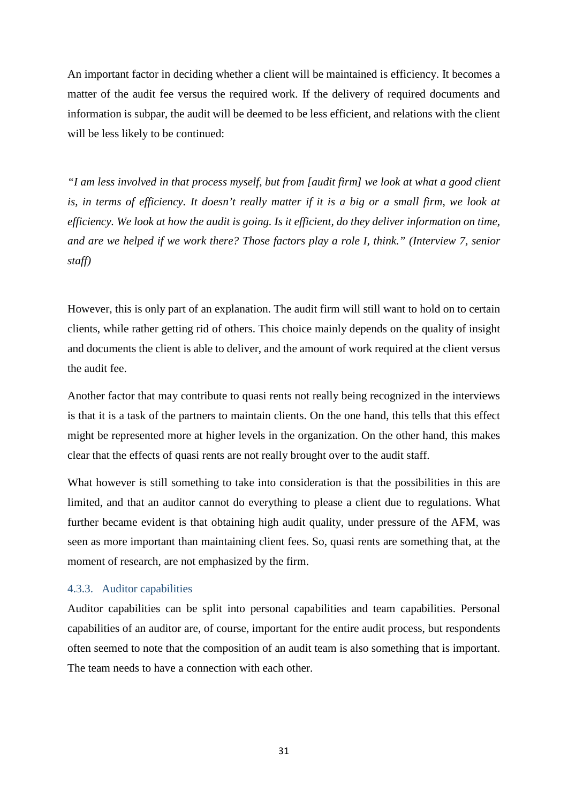An important factor in deciding whether a client will be maintained is efficiency. It becomes a matter of the audit fee versus the required work. If the delivery of required documents and information is subpar, the audit will be deemed to be less efficient, and relations with the client will be less likely to be continued:

*"I am less involved in that process myself, but from [audit firm] we look at what a good client is, in terms of efficiency. It doesn't really matter if it is a big or a small firm, we look at efficiency. We look at how the audit is going. Is it efficient, do they deliver information on time, and are we helped if we work there? Those factors play a role I, think." (Interview 7, senior staff)*

However, this is only part of an explanation. The audit firm will still want to hold on to certain clients, while rather getting rid of others. This choice mainly depends on the quality of insight and documents the client is able to deliver, and the amount of work required at the client versus the audit fee.

Another factor that may contribute to quasi rents not really being recognized in the interviews is that it is a task of the partners to maintain clients. On the one hand, this tells that this effect might be represented more at higher levels in the organization. On the other hand, this makes clear that the effects of quasi rents are not really brought over to the audit staff.

What however is still something to take into consideration is that the possibilities in this are limited, and that an auditor cannot do everything to please a client due to regulations. What further became evident is that obtaining high audit quality, under pressure of the AFM, was seen as more important than maintaining client fees. So, quasi rents are something that, at the moment of research, are not emphasized by the firm.

#### <span id="page-30-0"></span>4.3.3. Auditor capabilities

Auditor capabilities can be split into personal capabilities and team capabilities. Personal capabilities of an auditor are, of course, important for the entire audit process, but respondents often seemed to note that the composition of an audit team is also something that is important. The team needs to have a connection with each other.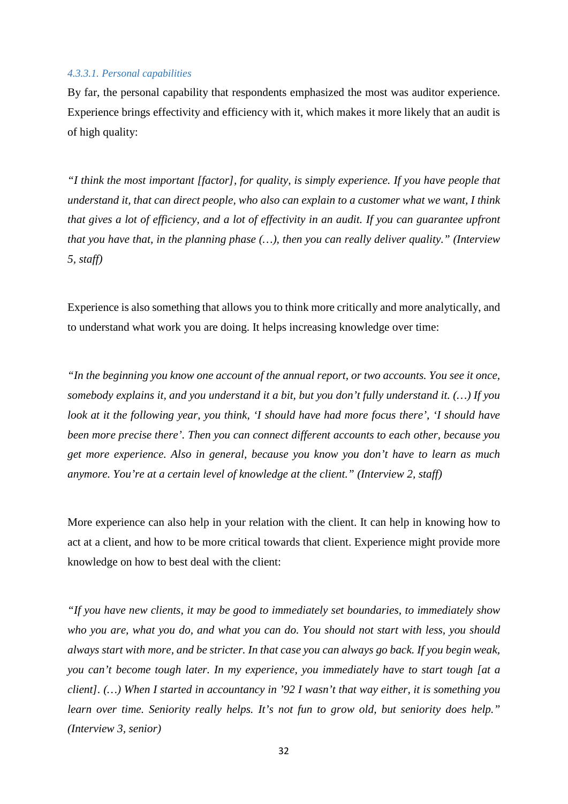#### *4.3.3.1. Personal capabilities*

By far, the personal capability that respondents emphasized the most was auditor experience. Experience brings effectivity and efficiency with it, which makes it more likely that an audit is of high quality:

*"I think the most important [factor], for quality, is simply experience. If you have people that understand it, that can direct people, who also can explain to a customer what we want, I think that gives a lot of efficiency, and a lot of effectivity in an audit. If you can guarantee upfront that you have that, in the planning phase (…), then you can really deliver quality." (Interview 5, staff)*

Experience is also something that allows you to think more critically and more analytically, and to understand what work you are doing. It helps increasing knowledge over time:

*"In the beginning you know one account of the annual report, or two accounts. You see it once, somebody explains it, and you understand it a bit, but you don't fully understand it. (…) If you look at it the following year, you think, 'I should have had more focus there', 'I should have been more precise there'. Then you can connect different accounts to each other, because you get more experience. Also in general, because you know you don't have to learn as much anymore. You're at a certain level of knowledge at the client." (Interview 2, staff)*

More experience can also help in your relation with the client. It can help in knowing how to act at a client, and how to be more critical towards that client. Experience might provide more knowledge on how to best deal with the client:

*"If you have new clients, it may be good to immediately set boundaries, to immediately show who you are, what you do, and what you can do. You should not start with less, you should always start with more, and be stricter. In that case you can always go back. If you begin weak, you can't become tough later. In my experience, you immediately have to start tough [at a client]. (…) When I started in accountancy in '92 I wasn't that way either, it is something you learn over time. Seniority really helps. It's not fun to grow old, but seniority does help." (Interview 3, senior)*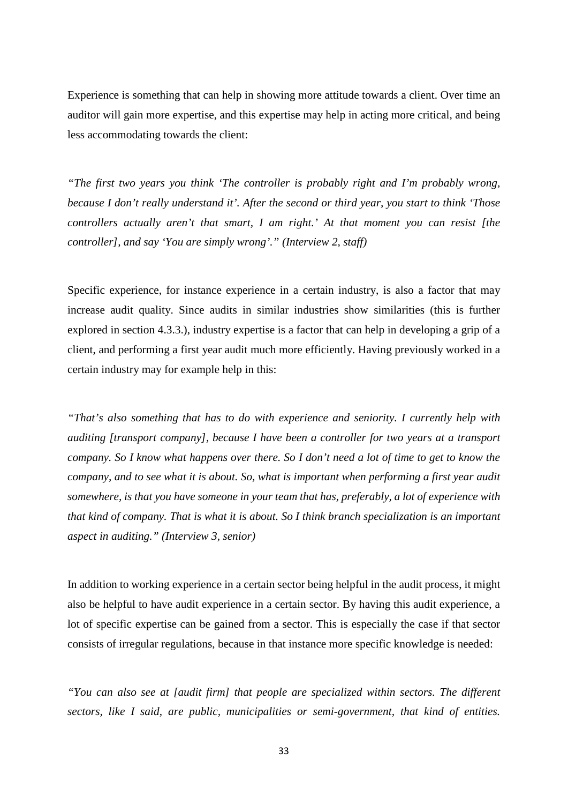Experience is something that can help in showing more attitude towards a client. Over time an auditor will gain more expertise, and this expertise may help in acting more critical, and being less accommodating towards the client:

*"The first two years you think 'The controller is probably right and I'm probably wrong, because I don't really understand it'. After the second or third year, you start to think 'Those controllers actually aren't that smart, I am right.' At that moment you can resist [the controller], and say 'You are simply wrong'." (Interview 2, staff)*

Specific experience, for instance experience in a certain industry, is also a factor that may increase audit quality. Since audits in similar industries show similarities (this is further explored in section 4.3.3.), industry expertise is a factor that can help in developing a grip of a client, and performing a first year audit much more efficiently. Having previously worked in a certain industry may for example help in this:

*"That's also something that has to do with experience and seniority. I currently help with auditing [transport company], because I have been a controller for two years at a transport company. So I know what happens over there. So I don't need a lot of time to get to know the company, and to see what it is about. So, what is important when performing a first year audit somewhere, is that you have someone in your team that has, preferably, a lot of experience with that kind of company. That is what it is about. So I think branch specialization is an important aspect in auditing." (Interview 3, senior)*

In addition to working experience in a certain sector being helpful in the audit process, it might also be helpful to have audit experience in a certain sector. By having this audit experience, a lot of specific expertise can be gained from a sector. This is especially the case if that sector consists of irregular regulations, because in that instance more specific knowledge is needed:

*"You can also see at [audit firm] that people are specialized within sectors. The different sectors, like I said, are public, municipalities or semi-government, that kind of entities.*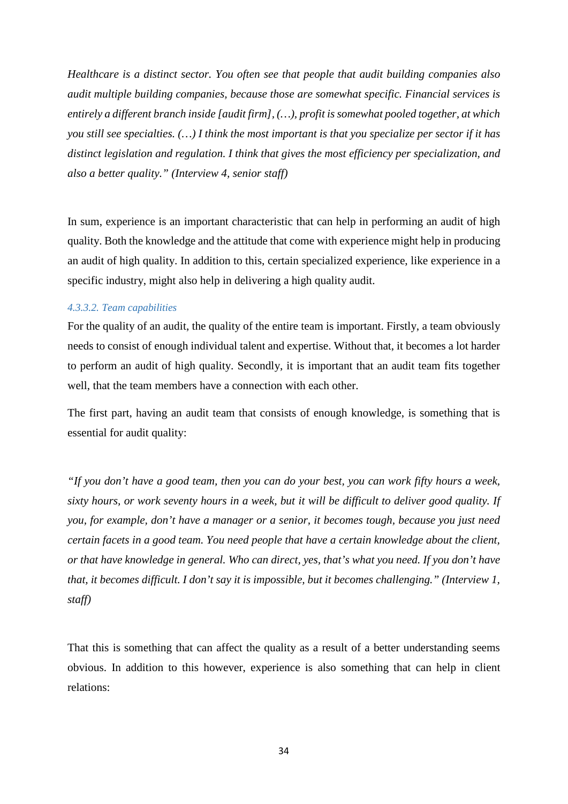*Healthcare is a distinct sector. You often see that people that audit building companies also audit multiple building companies, because those are somewhat specific. Financial services is entirely a different branch inside [audit firm], (…), profit is somewhat pooled together, at which you still see specialties. (…) I think the most important is that you specialize per sector if it has distinct legislation and regulation. I think that gives the most efficiency per specialization, and also a better quality." (Interview 4, senior staff)*

In sum, experience is an important characteristic that can help in performing an audit of high quality. Both the knowledge and the attitude that come with experience might help in producing an audit of high quality. In addition to this, certain specialized experience, like experience in a specific industry, might also help in delivering a high quality audit.

#### *4.3.3.2. Team capabilities*

For the quality of an audit, the quality of the entire team is important. Firstly, a team obviously needs to consist of enough individual talent and expertise. Without that, it becomes a lot harder to perform an audit of high quality. Secondly, it is important that an audit team fits together well, that the team members have a connection with each other.

The first part, having an audit team that consists of enough knowledge, is something that is essential for audit quality:

*"If you don't have a good team, then you can do your best, you can work fifty hours a week, sixty hours, or work seventy hours in a week, but it will be difficult to deliver good quality. If you, for example, don't have a manager or a senior, it becomes tough, because you just need certain facets in a good team. You need people that have a certain knowledge about the client, or that have knowledge in general. Who can direct, yes, that's what you need. If you don't have that, it becomes difficult. I don't say it is impossible, but it becomes challenging." (Interview 1, staff)*

That this is something that can affect the quality as a result of a better understanding seems obvious. In addition to this however, experience is also something that can help in client relations: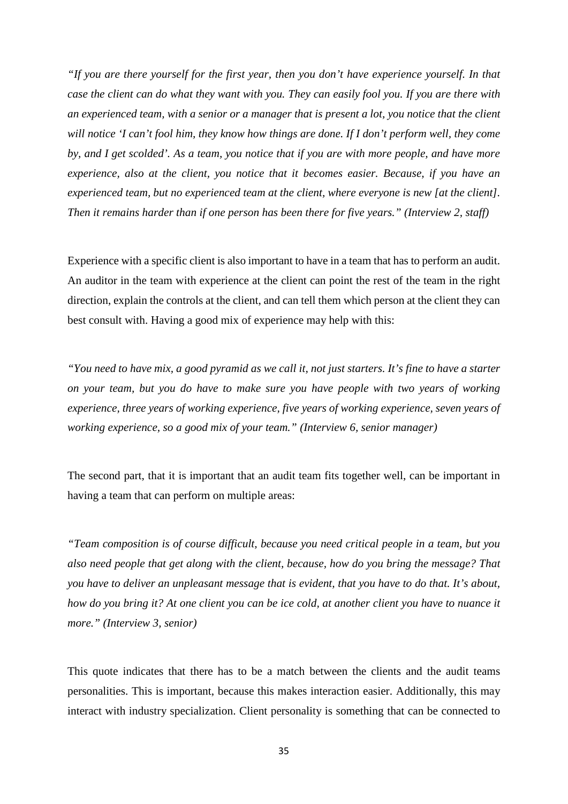*"If you are there yourself for the first year, then you don't have experience yourself. In that case the client can do what they want with you. They can easily fool you. If you are there with an experienced team, with a senior or a manager that is present a lot, you notice that the client will notice 'I can't fool him, they know how things are done. If I don't perform well, they come by, and I get scolded'. As a team, you notice that if you are with more people, and have more experience, also at the client, you notice that it becomes easier. Because, if you have an experienced team, but no experienced team at the client, where everyone is new [at the client]. Then it remains harder than if one person has been there for five years." (Interview 2, staff)*

Experience with a specific client is also important to have in a team that has to perform an audit. An auditor in the team with experience at the client can point the rest of the team in the right direction, explain the controls at the client, and can tell them which person at the client they can best consult with. Having a good mix of experience may help with this:

*"You need to have mix, a good pyramid as we call it, not just starters. It's fine to have a starter on your team, but you do have to make sure you have people with two years of working experience, three years of working experience, five years of working experience, seven years of working experience, so a good mix of your team." (Interview 6, senior manager)*

The second part, that it is important that an audit team fits together well, can be important in having a team that can perform on multiple areas:

*"Team composition is of course difficult, because you need critical people in a team, but you also need people that get along with the client, because, how do you bring the message? That you have to deliver an unpleasant message that is evident, that you have to do that. It's about, how do you bring it? At one client you can be ice cold, at another client you have to nuance it more." (Interview 3, senior)*

This quote indicates that there has to be a match between the clients and the audit teams personalities. This is important, because this makes interaction easier. Additionally, this may interact with industry specialization. Client personality is something that can be connected to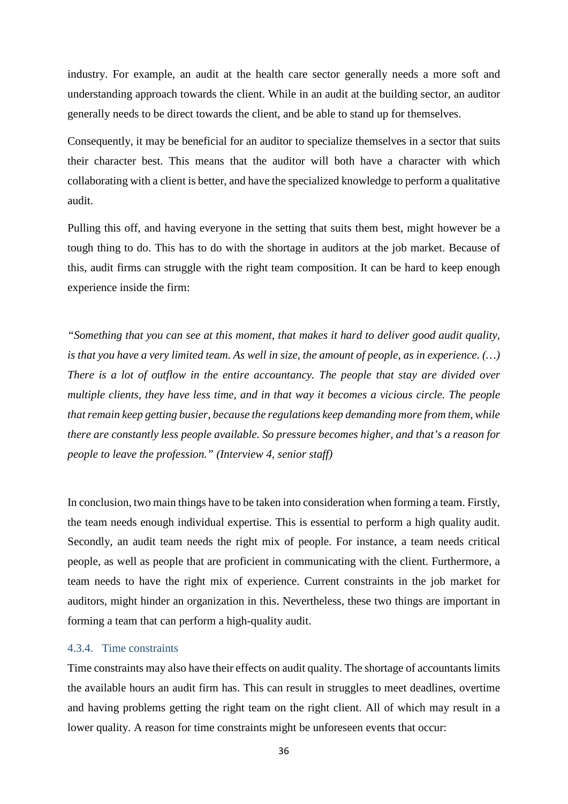industry. For example, an audit at the health care sector generally needs a more soft and understanding approach towards the client. While in an audit at the building sector, an auditor generally needs to be direct towards the client, and be able to stand up for themselves.

Consequently, it may be beneficial for an auditor to specialize themselves in a sector that suits their character best. This means that the auditor will both have a character with which collaborating with a client is better, and have the specialized knowledge to perform a qualitative audit.

Pulling this off, and having everyone in the setting that suits them best, might however be a tough thing to do. This has to do with the shortage in auditors at the job market. Because of this, audit firms can struggle with the right team composition. It can be hard to keep enough experience inside the firm:

*"Something that you can see at this moment, that makes it hard to deliver good audit quality, is that you have a very limited team. As well in size, the amount of people, as in experience. (…) There is a lot of outflow in the entire accountancy. The people that stay are divided over multiple clients, they have less time, and in that way it becomes a vicious circle. The people that remain keep getting busier, because the regulations keep demanding more from them, while there are constantly less people available. So pressure becomes higher, and that's a reason for people to leave the profession." (Interview 4, senior staff)*

In conclusion, two main things have to be taken into consideration when forming a team. Firstly, the team needs enough individual expertise. This is essential to perform a high quality audit. Secondly, an audit team needs the right mix of people. For instance, a team needs critical people, as well as people that are proficient in communicating with the client. Furthermore, a team needs to have the right mix of experience. Current constraints in the job market for auditors, might hinder an organization in this. Nevertheless, these two things are important in forming a team that can perform a high-quality audit.

#### <span id="page-35-0"></span>4.3.4. Time constraints

Time constraints may also have their effects on audit quality. The shortage of accountants limits the available hours an audit firm has. This can result in struggles to meet deadlines, overtime and having problems getting the right team on the right client. All of which may result in a lower quality. A reason for time constraints might be unforeseen events that occur: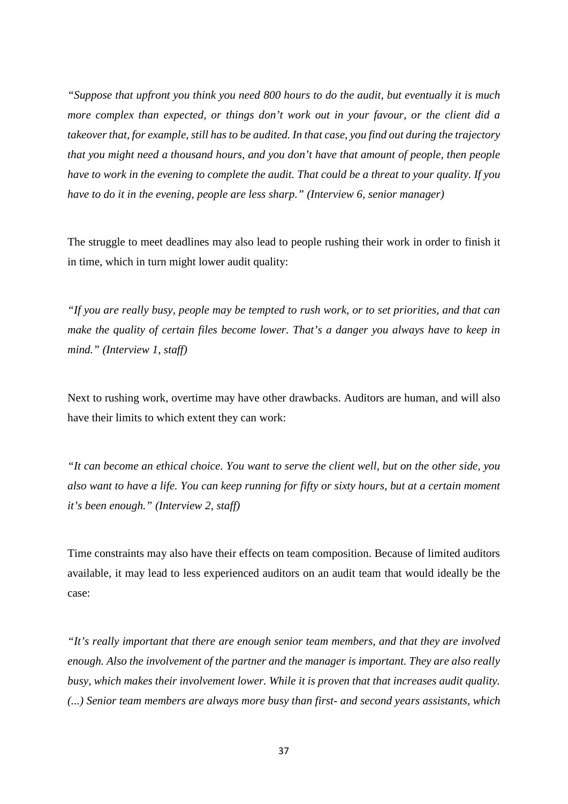*"Suppose that upfront you think you need 800 hours to do the audit, but eventually it is much more complex than expected, or things don't work out in your favour, or the client did a takeover that, for example, still has to be audited. In that case, you find out during the trajectory that you might need a thousand hours, and you don't have that amount of people, then people have to work in the evening to complete the audit. That could be a threat to your quality. If you have to do it in the evening, people are less sharp." (Interview 6, senior manager)*

The struggle to meet deadlines may also lead to people rushing their work in order to finish it in time, which in turn might lower audit quality:

*"If you are really busy, people may be tempted to rush work, or to set priorities, and that can make the quality of certain files become lower. That's a danger you always have to keep in mind." (Interview 1, staff)*

Next to rushing work, overtime may have other drawbacks. Auditors are human, and will also have their limits to which extent they can work:

*"It can become an ethical choice. You want to serve the client well, but on the other side, you also want to have a life. You can keep running for fifty or sixty hours, but at a certain moment it's been enough." (Interview 2, staff)*

Time constraints may also have their effects on team composition. Because of limited auditors available, it may lead to less experienced auditors on an audit team that would ideally be the case:

*"It's really important that there are enough senior team members, and that they are involved enough. Also the involvement of the partner and the manager is important. They are also really busy, which makes their involvement lower. While it is proven that that increases audit quality. (...) Senior team members are always more busy than first- and second years assistants, which*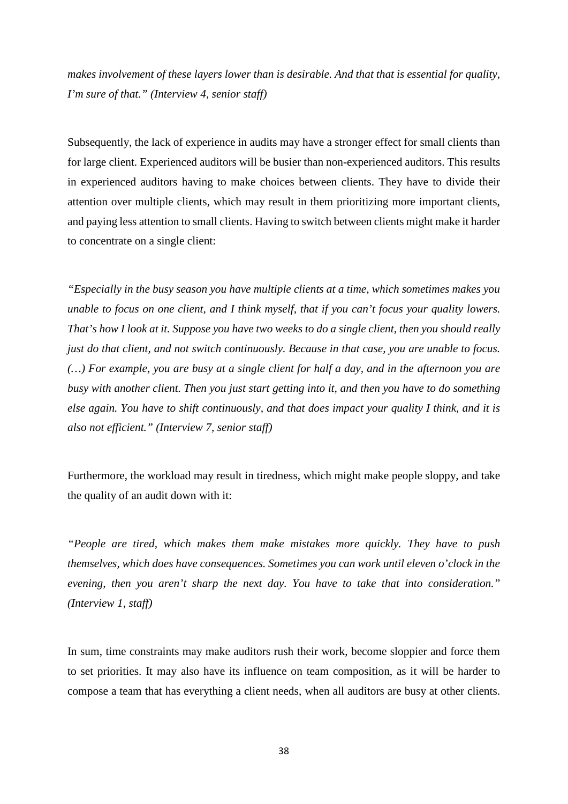*makes involvement of these layers lower than is desirable. And that that is essential for quality, I'm sure of that." (Interview 4, senior staff)*

Subsequently, the lack of experience in audits may have a stronger effect for small clients than for large client. Experienced auditors will be busier than non-experienced auditors. This results in experienced auditors having to make choices between clients. They have to divide their attention over multiple clients, which may result in them prioritizing more important clients, and paying less attention to small clients. Having to switch between clients might make it harder to concentrate on a single client:

*"Especially in the busy season you have multiple clients at a time, which sometimes makes you unable to focus on one client, and I think myself, that if you can't focus your quality lowers. That's how I look at it. Suppose you have two weeks to do a single client, then you should really just do that client, and not switch continuously. Because in that case, you are unable to focus. (…) For example, you are busy at a single client for half a day, and in the afternoon you are busy with another client. Then you just start getting into it, and then you have to do something else again. You have to shift continuously, and that does impact your quality I think, and it is also not efficient." (Interview 7, senior staff)*

Furthermore, the workload may result in tiredness, which might make people sloppy, and take the quality of an audit down with it:

*"People are tired, which makes them make mistakes more quickly. They have to push themselves, which does have consequences. Sometimes you can work until eleven o'clock in the evening, then you aren't sharp the next day. You have to take that into consideration." (Interview 1, staff)*

In sum, time constraints may make auditors rush their work, become sloppier and force them to set priorities. It may also have its influence on team composition, as it will be harder to compose a team that has everything a client needs, when all auditors are busy at other clients.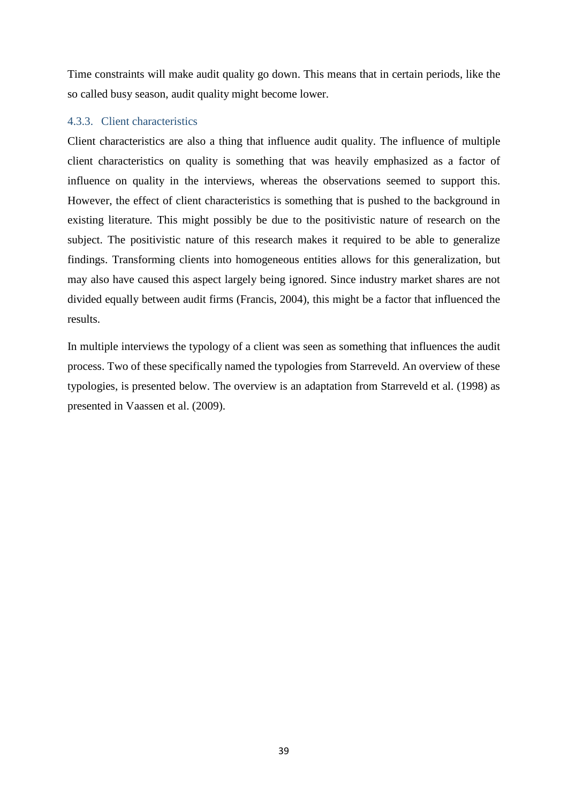Time constraints will make audit quality go down. This means that in certain periods, like the so called busy season, audit quality might become lower.

#### <span id="page-38-0"></span>4.3.3. Client characteristics

Client characteristics are also a thing that influence audit quality. The influence of multiple client characteristics on quality is something that was heavily emphasized as a factor of influence on quality in the interviews, whereas the observations seemed to support this. However, the effect of client characteristics is something that is pushed to the background in existing literature. This might possibly be due to the positivistic nature of research on the subject. The positivistic nature of this research makes it required to be able to generalize findings. Transforming clients into homogeneous entities allows for this generalization, but may also have caused this aspect largely being ignored. Since industry market shares are not divided equally between audit firms (Francis, 2004), this might be a factor that influenced the results.

In multiple interviews the typology of a client was seen as something that influences the audit process. Two of these specifically named the typologies from Starreveld. An overview of these typologies, is presented below. The overview is an adaptation from Starreveld et al. (1998) as presented in Vaassen et al. (2009).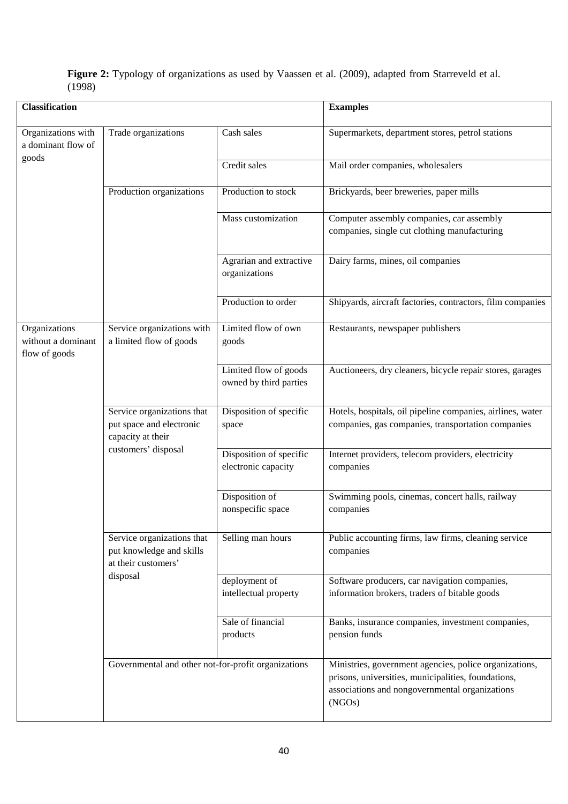| <b>Classification</b>                                |                                                                                                    |                                                 | <b>Examples</b>                                                                                                                                                           |
|------------------------------------------------------|----------------------------------------------------------------------------------------------------|-------------------------------------------------|---------------------------------------------------------------------------------------------------------------------------------------------------------------------------|
| Organizations with<br>a dominant flow of<br>goods    | Trade organizations                                                                                | Cash sales                                      | Supermarkets, department stores, petrol stations                                                                                                                          |
|                                                      |                                                                                                    | Credit sales                                    | Mail order companies, wholesalers                                                                                                                                         |
|                                                      | Production organizations                                                                           | Production to stock                             | Brickyards, beer breweries, paper mills                                                                                                                                   |
|                                                      |                                                                                                    | Mass customization                              | Computer assembly companies, car assembly<br>companies, single cut clothing manufacturing                                                                                 |
|                                                      |                                                                                                    | Agrarian and extractive<br>organizations        | Dairy farms, mines, oil companies                                                                                                                                         |
|                                                      |                                                                                                    | Production to order                             | Shipyards, aircraft factories, contractors, film companies                                                                                                                |
| Organizations<br>without a dominant<br>flow of goods | Service organizations with<br>a limited flow of goods                                              | Limited flow of own<br>goods                    | Restaurants, newspaper publishers                                                                                                                                         |
|                                                      |                                                                                                    | Limited flow of goods<br>owned by third parties | Auctioneers, dry cleaners, bicycle repair stores, garages                                                                                                                 |
|                                                      | Service organizations that<br>put space and electronic<br>capacity at their<br>customers' disposal | Disposition of specific<br>space                | Hotels, hospitals, oil pipeline companies, airlines, water<br>companies, gas companies, transportation companies                                                          |
|                                                      |                                                                                                    | Disposition of specific<br>electronic capacity  | Internet providers, telecom providers, electricity<br>companies                                                                                                           |
|                                                      |                                                                                                    | Disposition of<br>nonspecific space             | Swimming pools, cinemas, concert halls, railway<br>companies                                                                                                              |
|                                                      | Service organizations that<br>put knowledge and skills<br>at their customers'                      | Selling man hours                               | Public accounting firms, law firms, cleaning service<br>companies                                                                                                         |
|                                                      | disposal                                                                                           | deployment of<br>intellectual property          | Software producers, car navigation companies,<br>information brokers, traders of bitable goods                                                                            |
|                                                      |                                                                                                    | Sale of financial<br>products                   | Banks, insurance companies, investment companies,<br>pension funds                                                                                                        |
|                                                      | Governmental and other not-for-profit organizations                                                |                                                 | Ministries, government agencies, police organizations,<br>prisons, universities, municipalities, foundations,<br>associations and nongovernmental organizations<br>(NGOs) |

#### **Figure 2:** Typology of organizations as used by Vaassen et al. (2009), adapted from Starreveld et al. (1998)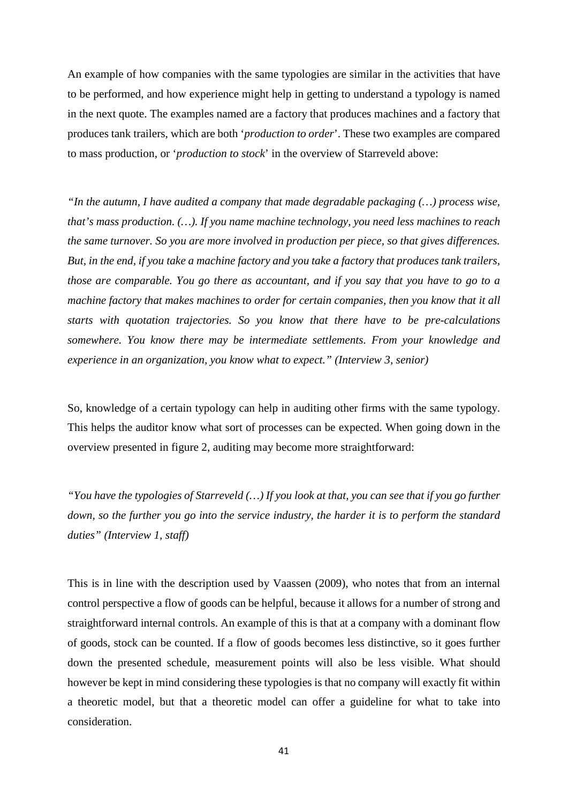An example of how companies with the same typologies are similar in the activities that have to be performed, and how experience might help in getting to understand a typology is named in the next quote. The examples named are a factory that produces machines and a factory that produces tank trailers, which are both '*production to order*'. These two examples are compared to mass production, or '*production to stock*' in the overview of Starreveld above:

*"In the autumn, I have audited a company that made degradable packaging (…) process wise, that's mass production. (…). If you name machine technology, you need less machines to reach the same turnover. So you are more involved in production per piece, so that gives differences. But, in the end, if you take a machine factory and you take a factory that produces tank trailers, those are comparable. You go there as accountant, and if you say that you have to go to a machine factory that makes machines to order for certain companies, then you know that it all starts with quotation trajectories. So you know that there have to be pre-calculations somewhere. You know there may be intermediate settlements. From your knowledge and experience in an organization, you know what to expect." (Interview 3, senior)*

So, knowledge of a certain typology can help in auditing other firms with the same typology. This helps the auditor know what sort of processes can be expected. When going down in the overview presented in figure 2, auditing may become more straightforward:

*"You have the typologies of Starreveld (…) If you look at that, you can see that if you go further down, so the further you go into the service industry, the harder it is to perform the standard duties" (Interview 1, staff)*

This is in line with the description used by Vaassen (2009), who notes that from an internal control perspective a flow of goods can be helpful, because it allows for a number of strong and straightforward internal controls. An example of this is that at a company with a dominant flow of goods, stock can be counted. If a flow of goods becomes less distinctive, so it goes further down the presented schedule, measurement points will also be less visible. What should however be kept in mind considering these typologies is that no company will exactly fit within a theoretic model, but that a theoretic model can offer a guideline for what to take into consideration.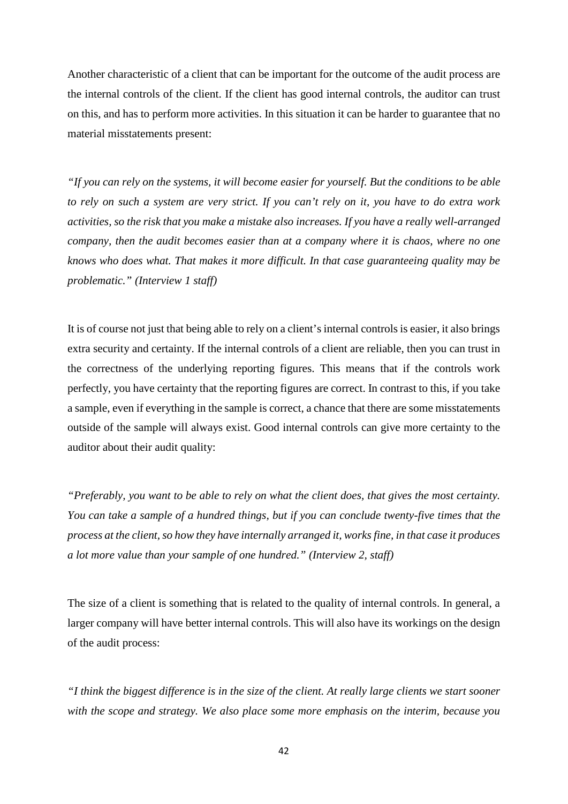Another characteristic of a client that can be important for the outcome of the audit process are the internal controls of the client. If the client has good internal controls, the auditor can trust on this, and has to perform more activities. In this situation it can be harder to guarantee that no material misstatements present:

*"If you can rely on the systems, it will become easier for yourself. But the conditions to be able to rely on such a system are very strict. If you can't rely on it, you have to do extra work activities, so the risk that you make a mistake also increases. If you have a really well-arranged company, then the audit becomes easier than at a company where it is chaos, where no one knows who does what. That makes it more difficult. In that case guaranteeing quality may be problematic." (Interview 1 staff)*

It is of course not just that being able to rely on a client's internal controls is easier, it also brings extra security and certainty. If the internal controls of a client are reliable, then you can trust in the correctness of the underlying reporting figures. This means that if the controls work perfectly, you have certainty that the reporting figures are correct. In contrast to this, if you take a sample, even if everything in the sample is correct, a chance that there are some misstatements outside of the sample will always exist. Good internal controls can give more certainty to the auditor about their audit quality:

*"Preferably, you want to be able to rely on what the client does, that gives the most certainty. You can take a sample of a hundred things, but if you can conclude twenty-five times that the process at the client, so how they have internally arranged it, works fine, in that case it produces a lot more value than your sample of one hundred." (Interview 2, staff)*

The size of a client is something that is related to the quality of internal controls. In general, a larger company will have better internal controls. This will also have its workings on the design of the audit process:

*"I think the biggest difference is in the size of the client. At really large clients we start sooner with the scope and strategy. We also place some more emphasis on the interim, because you*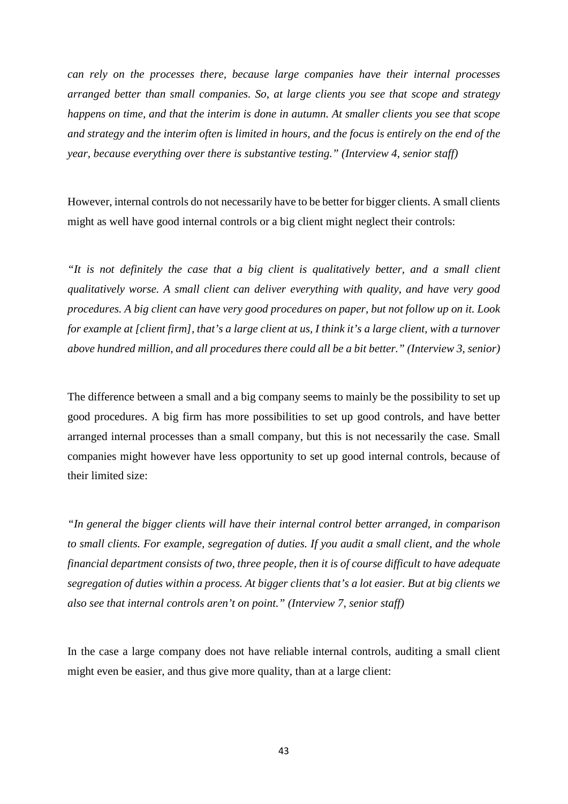*can rely on the processes there, because large companies have their internal processes arranged better than small companies. So, at large clients you see that scope and strategy happens on time, and that the interim is done in autumn. At smaller clients you see that scope and strategy and the interim often is limited in hours, and the focus is entirely on the end of the year, because everything over there is substantive testing." (Interview 4, senior staff)*

However, internal controls do not necessarily have to be better for bigger clients. A small clients might as well have good internal controls or a big client might neglect their controls:

*"It is not definitely the case that a big client is qualitatively better, and a small client qualitatively worse. A small client can deliver everything with quality, and have very good procedures. A big client can have very good procedures on paper, but not follow up on it. Look for example at [client firm], that's a large client at us, I think it's a large client, with a turnover above hundred million, and all procedures there could all be a bit better." (Interview 3, senior)*

The difference between a small and a big company seems to mainly be the possibility to set up good procedures. A big firm has more possibilities to set up good controls, and have better arranged internal processes than a small company, but this is not necessarily the case. Small companies might however have less opportunity to set up good internal controls, because of their limited size:

*"In general the bigger clients will have their internal control better arranged, in comparison to small clients. For example, segregation of duties. If you audit a small client, and the whole financial department consists of two, three people, then it is of course difficult to have adequate segregation of duties within a process. At bigger clients that's a lot easier. But at big clients we also see that internal controls aren't on point." (Interview 7, senior staff)*

In the case a large company does not have reliable internal controls, auditing a small client might even be easier, and thus give more quality, than at a large client: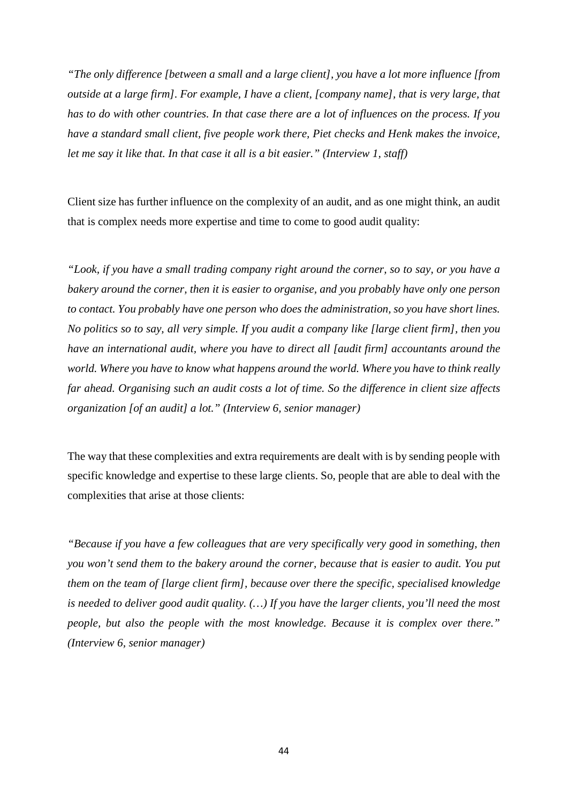*"The only difference [between a small and a large client], you have a lot more influence [from outside at a large firm]. For example, I have a client, [company name], that is very large, that has to do with other countries. In that case there are a lot of influences on the process. If you have a standard small client, five people work there, Piet checks and Henk makes the invoice, let me say it like that. In that case it all is a bit easier." (Interview 1, staff)*

Client size has further influence on the complexity of an audit, and as one might think, an audit that is complex needs more expertise and time to come to good audit quality:

*"Look, if you have a small trading company right around the corner, so to say, or you have a bakery around the corner, then it is easier to organise, and you probably have only one person to contact. You probably have one person who does the administration, so you have short lines. No politics so to say, all very simple. If you audit a company like [large client firm], then you have an international audit, where you have to direct all [audit firm] accountants around the world. Where you have to know what happens around the world. Where you have to think really far ahead. Organising such an audit costs a lot of time. So the difference in client size affects organization [of an audit] a lot." (Interview 6, senior manager)*

The way that these complexities and extra requirements are dealt with is by sending people with specific knowledge and expertise to these large clients. So, people that are able to deal with the complexities that arise at those clients:

*"Because if you have a few colleagues that are very specifically very good in something, then you won't send them to the bakery around the corner, because that is easier to audit. You put them on the team of [large client firm], because over there the specific, specialised knowledge is needed to deliver good audit quality. (…) If you have the larger clients, you'll need the most people, but also the people with the most knowledge. Because it is complex over there." (Interview 6, senior manager)*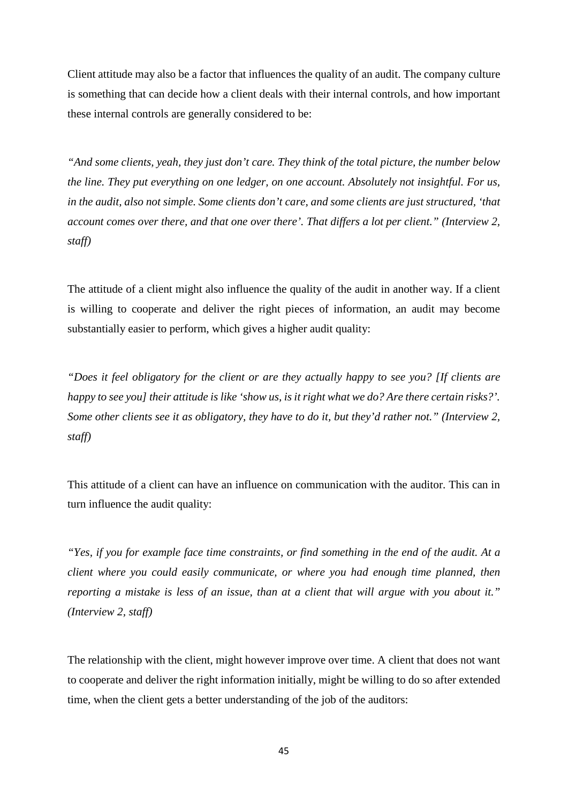Client attitude may also be a factor that influences the quality of an audit. The company culture is something that can decide how a client deals with their internal controls, and how important these internal controls are generally considered to be:

*"And some clients, yeah, they just don't care. They think of the total picture, the number below the line. They put everything on one ledger, on one account. Absolutely not insightful. For us, in the audit, also not simple. Some clients don't care, and some clients are just structured, 'that account comes over there, and that one over there'. That differs a lot per client." (Interview 2, staff)*

The attitude of a client might also influence the quality of the audit in another way. If a client is willing to cooperate and deliver the right pieces of information, an audit may become substantially easier to perform, which gives a higher audit quality:

*"Does it feel obligatory for the client or are they actually happy to see you? [If clients are happy to see you] their attitude is like 'show us, is it right what we do? Are there certain risks?'. Some other clients see it as obligatory, they have to do it, but they'd rather not." (Interview 2, staff)*

This attitude of a client can have an influence on communication with the auditor. This can in turn influence the audit quality:

*"Yes, if you for example face time constraints, or find something in the end of the audit. At a client where you could easily communicate, or where you had enough time planned, then reporting a mistake is less of an issue, than at a client that will argue with you about it." (Interview 2, staff)*

The relationship with the client, might however improve over time. A client that does not want to cooperate and deliver the right information initially, might be willing to do so after extended time, when the client gets a better understanding of the job of the auditors: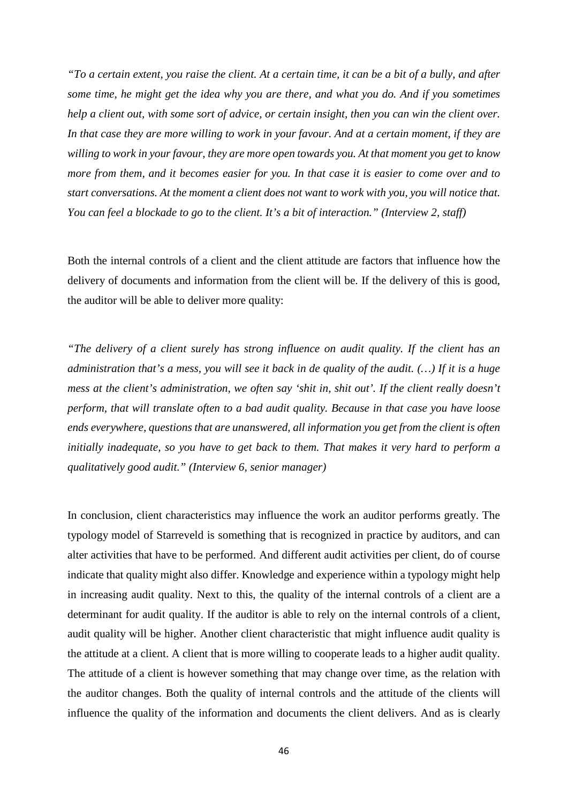*"To a certain extent, you raise the client. At a certain time, it can be a bit of a bully, and after some time, he might get the idea why you are there, and what you do. And if you sometimes help a client out, with some sort of advice, or certain insight, then you can win the client over. In that case they are more willing to work in your favour. And at a certain moment, if they are willing to work in your favour, they are more open towards you. At that moment you get to know more from them, and it becomes easier for you. In that case it is easier to come over and to start conversations. At the moment a client does not want to work with you, you will notice that. You can feel a blockade to go to the client. It's a bit of interaction." (Interview 2, staff)*

Both the internal controls of a client and the client attitude are factors that influence how the delivery of documents and information from the client will be. If the delivery of this is good, the auditor will be able to deliver more quality:

*"The delivery of a client surely has strong influence on audit quality. If the client has an administration that's a mess, you will see it back in de quality of the audit. (…) If it is a huge mess at the client's administration, we often say 'shit in, shit out'. If the client really doesn't perform, that will translate often to a bad audit quality. Because in that case you have loose ends everywhere, questions that are unanswered, all information you get from the client is often initially inadequate, so you have to get back to them. That makes it very hard to perform a qualitatively good audit." (Interview 6, senior manager)*

In conclusion, client characteristics may influence the work an auditor performs greatly. The typology model of Starreveld is something that is recognized in practice by auditors, and can alter activities that have to be performed. And different audit activities per client, do of course indicate that quality might also differ. Knowledge and experience within a typology might help in increasing audit quality. Next to this, the quality of the internal controls of a client are a determinant for audit quality. If the auditor is able to rely on the internal controls of a client, audit quality will be higher. Another client characteristic that might influence audit quality is the attitude at a client. A client that is more willing to cooperate leads to a higher audit quality. The attitude of a client is however something that may change over time, as the relation with the auditor changes. Both the quality of internal controls and the attitude of the clients will influence the quality of the information and documents the client delivers. And as is clearly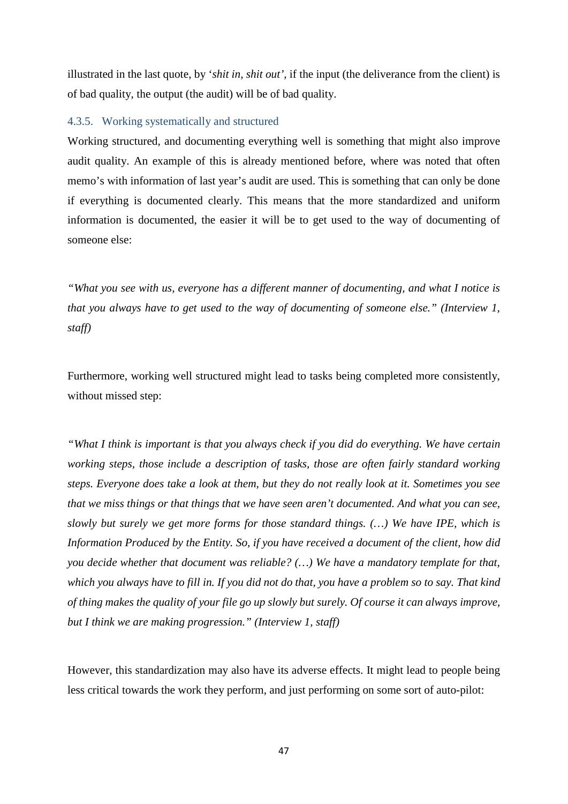illustrated in the last quote, by '*shit in, shit out'*, if the input (the deliverance from the client) is of bad quality, the output (the audit) will be of bad quality.

#### <span id="page-46-0"></span>4.3.5. Working systematically and structured

Working structured, and documenting everything well is something that might also improve audit quality. An example of this is already mentioned before, where was noted that often memo's with information of last year's audit are used. This is something that can only be done if everything is documented clearly. This means that the more standardized and uniform information is documented, the easier it will be to get used to the way of documenting of someone else:

*"What you see with us, everyone has a different manner of documenting, and what I notice is that you always have to get used to the way of documenting of someone else." (Interview 1, staff)*

Furthermore, working well structured might lead to tasks being completed more consistently, without missed step:

*"What I think is important is that you always check if you did do everything. We have certain working steps, those include a description of tasks, those are often fairly standard working steps. Everyone does take a look at them, but they do not really look at it. Sometimes you see that we miss things or that things that we have seen aren't documented. And what you can see, slowly but surely we get more forms for those standard things. (…) We have IPE, which is Information Produced by the Entity. So, if you have received a document of the client, how did you decide whether that document was reliable? (…) We have a mandatory template for that, which you always have to fill in. If you did not do that, you have a problem so to say. That kind of thing makes the quality of your file go up slowly but surely. Of course it can always improve, but I think we are making progression." (Interview 1, staff)*

However, this standardization may also have its adverse effects. It might lead to people being less critical towards the work they perform, and just performing on some sort of auto-pilot: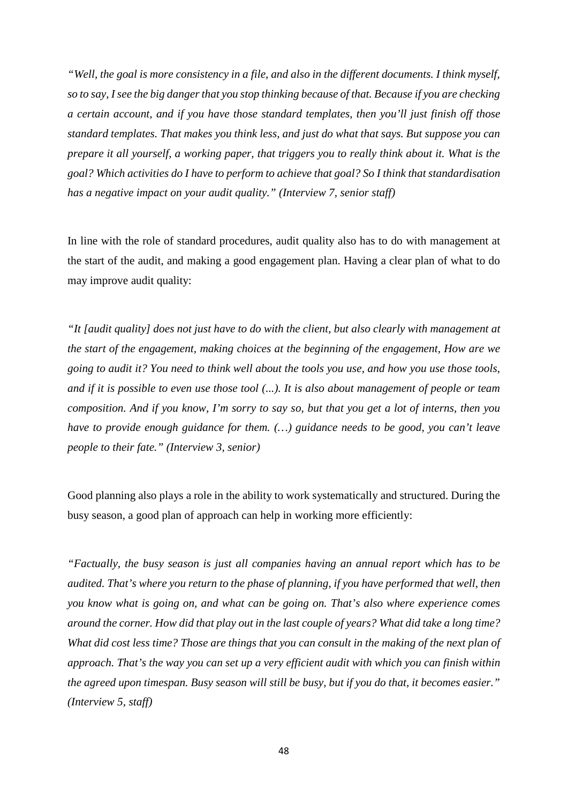*"Well, the goal is more consistency in a file, and also in the different documents. I think myself, so to say, I see the big danger that you stop thinking because of that. Because if you are checking a certain account, and if you have those standard templates, then you'll just finish off those standard templates. That makes you think less, and just do what that says. But suppose you can prepare it all yourself, a working paper, that triggers you to really think about it. What is the goal? Which activities do I have to perform to achieve that goal? So I think that standardisation has a negative impact on your audit quality." (Interview 7, senior staff)*

In line with the role of standard procedures, audit quality also has to do with management at the start of the audit, and making a good engagement plan. Having a clear plan of what to do may improve audit quality:

*"It [audit quality] does not just have to do with the client, but also clearly with management at the start of the engagement, making choices at the beginning of the engagement, How are we going to audit it? You need to think well about the tools you use, and how you use those tools, and if it is possible to even use those tool (...). It is also about management of people or team composition. And if you know, I'm sorry to say so, but that you get a lot of interns, then you have to provide enough guidance for them. (…) guidance needs to be good, you can't leave people to their fate." (Interview 3, senior)*

Good planning also plays a role in the ability to work systematically and structured. During the busy season, a good plan of approach can help in working more efficiently:

*"Factually, the busy season is just all companies having an annual report which has to be audited. That's where you return to the phase of planning, if you have performed that well, then you know what is going on, and what can be going on. That's also where experience comes around the corner. How did that play out in the last couple of years? What did take a long time? What did cost less time? Those are things that you can consult in the making of the next plan of approach. That's the way you can set up a very efficient audit with which you can finish within the agreed upon timespan. Busy season will still be busy, but if you do that, it becomes easier." (Interview 5, staff)*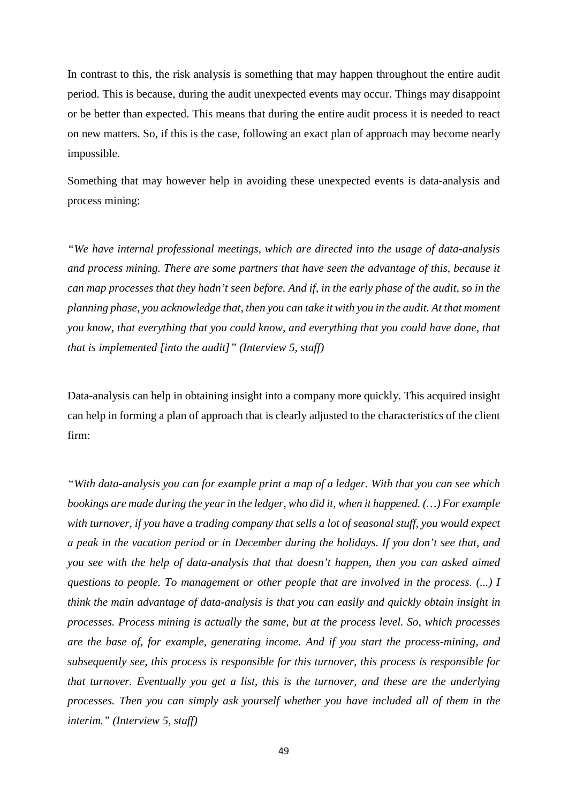In contrast to this, the risk analysis is something that may happen throughout the entire audit period. This is because, during the audit unexpected events may occur. Things may disappoint or be better than expected. This means that during the entire audit process it is needed to react on new matters. So, if this is the case, following an exact plan of approach may become nearly impossible.

Something that may however help in avoiding these unexpected events is data-analysis and process mining:

*"We have internal professional meetings, which are directed into the usage of data-analysis and process mining. There are some partners that have seen the advantage of this, because it can map processes that they hadn't seen before. And if, in the early phase of the audit, so in the planning phase, you acknowledge that, then you can take it with you in the audit. At that moment you know, that everything that you could know, and everything that you could have done, that that is implemented [into the audit]" (Interview 5, staff)*

Data-analysis can help in obtaining insight into a company more quickly. This acquired insight can help in forming a plan of approach that is clearly adjusted to the characteristics of the client firm:

*"With data-analysis you can for example print a map of a ledger. With that you can see which bookings are made during the year in the ledger, who did it, when it happened. (…) For example with turnover, if you have a trading company that sells a lot of seasonal stuff, you would expect a peak in the vacation period or in December during the holidays. If you don't see that, and you see with the help of data-analysis that that doesn't happen, then you can asked aimed questions to people. To management or other people that are involved in the process. (...) I think the main advantage of data-analysis is that you can easily and quickly obtain insight in processes. Process mining is actually the same, but at the process level. So, which processes are the base of, for example, generating income. And if you start the process-mining, and subsequently see, this process is responsible for this turnover, this process is responsible for that turnover. Eventually you get a list, this is the turnover, and these are the underlying processes. Then you can simply ask yourself whether you have included all of them in the interim." (Interview 5, staff)*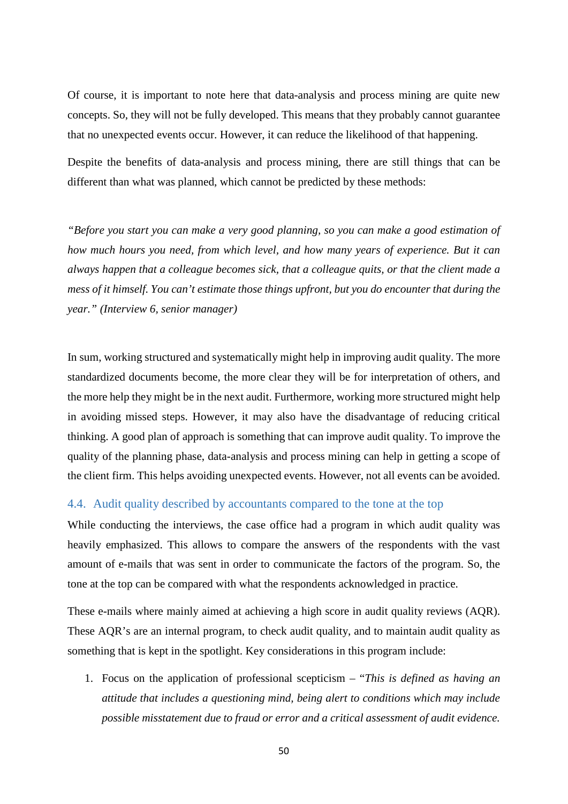Of course, it is important to note here that data-analysis and process mining are quite new concepts. So, they will not be fully developed. This means that they probably cannot guarantee that no unexpected events occur. However, it can reduce the likelihood of that happening.

Despite the benefits of data-analysis and process mining, there are still things that can be different than what was planned, which cannot be predicted by these methods:

*"Before you start you can make a very good planning, so you can make a good estimation of how much hours you need, from which level, and how many years of experience. But it can always happen that a colleague becomes sick, that a colleague quits, or that the client made a mess of it himself. You can't estimate those things upfront, but you do encounter that during the year." (Interview 6, senior manager)*

In sum, working structured and systematically might help in improving audit quality. The more standardized documents become, the more clear they will be for interpretation of others, and the more help they might be in the next audit. Furthermore, working more structured might help in avoiding missed steps. However, it may also have the disadvantage of reducing critical thinking. A good plan of approach is something that can improve audit quality. To improve the quality of the planning phase, data-analysis and process mining can help in getting a scope of the client firm. This helps avoiding unexpected events. However, not all events can be avoided.

#### <span id="page-49-0"></span>4.4. Audit quality described by accountants compared to the tone at the top

While conducting the interviews, the case office had a program in which audit quality was heavily emphasized. This allows to compare the answers of the respondents with the vast amount of e-mails that was sent in order to communicate the factors of the program. So, the tone at the top can be compared with what the respondents acknowledged in practice.

These e-mails where mainly aimed at achieving a high score in audit quality reviews (AQR). These AQR's are an internal program, to check audit quality, and to maintain audit quality as something that is kept in the spotlight. Key considerations in this program include:

1. Focus on the application of professional scepticism – "*This is defined as having an attitude that includes a questioning mind, being alert to conditions which may include possible misstatement due to fraud or error and a critical assessment of audit evidence.*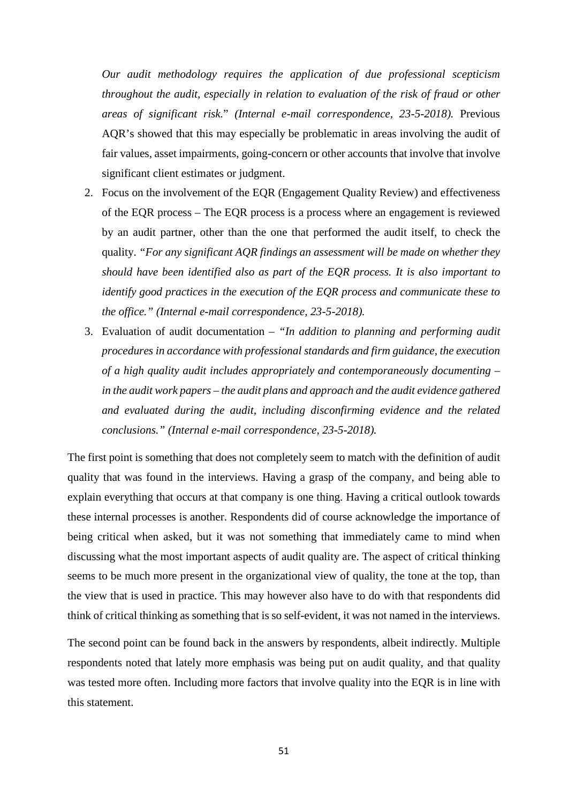*Our audit methodology requires the application of due professional scepticism throughout the audit, especially in relation to evaluation of the risk of fraud or other areas of significant risk.*" *(Internal e-mail correspondence, 23-5-2018).* Previous AQR's showed that this may especially be problematic in areas involving the audit of fair values, asset impairments, going-concern or other accounts that involve that involve significant client estimates or judgment.

- 2. Focus on the involvement of the EQR (Engagement Quality Review) and effectiveness of the EQR process – The EQR process is a process where an engagement is reviewed by an audit partner, other than the one that performed the audit itself, to check the quality. *"For any significant AQR findings an assessment will be made on whether they should have been identified also as part of the EQR process. It is also important to identify good practices in the execution of the EQR process and communicate these to the office." (Internal e-mail correspondence, 23-5-2018).*
- 3. Evaluation of audit documentation *"In addition to planning and performing audit procedures in accordance with professional standards and firm guidance, the execution of a high quality audit includes appropriately and contemporaneously documenting – in the audit work papers – the audit plans and approach and the audit evidence gathered and evaluated during the audit, including disconfirming evidence and the related conclusions." (Internal e-mail correspondence, 23-5-2018).*

The first point is something that does not completely seem to match with the definition of audit quality that was found in the interviews. Having a grasp of the company, and being able to explain everything that occurs at that company is one thing. Having a critical outlook towards these internal processes is another. Respondents did of course acknowledge the importance of being critical when asked, but it was not something that immediately came to mind when discussing what the most important aspects of audit quality are. The aspect of critical thinking seems to be much more present in the organizational view of quality, the tone at the top, than the view that is used in practice. This may however also have to do with that respondents did think of critical thinking as something that is so self-evident, it was not named in the interviews.

The second point can be found back in the answers by respondents, albeit indirectly. Multiple respondents noted that lately more emphasis was being put on audit quality, and that quality was tested more often. Including more factors that involve quality into the EQR is in line with this statement.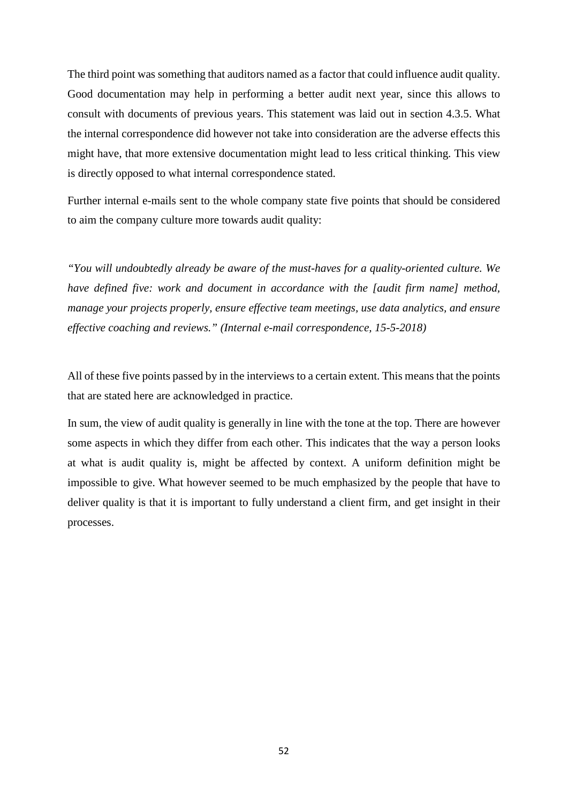The third point was something that auditors named as a factor that could influence audit quality. Good documentation may help in performing a better audit next year, since this allows to consult with documents of previous years. This statement was laid out in section 4.3.5. What the internal correspondence did however not take into consideration are the adverse effects this might have, that more extensive documentation might lead to less critical thinking. This view is directly opposed to what internal correspondence stated.

Further internal e-mails sent to the whole company state five points that should be considered to aim the company culture more towards audit quality:

*"You will undoubtedly already be aware of the must-haves for a quality-oriented culture. We have defined five: work and document in accordance with the [audit firm name] method, manage your projects properly, ensure effective team meetings, use data analytics, and ensure effective coaching and reviews." (Internal e-mail correspondence, 15-5-2018)*

All of these five points passed by in the interviews to a certain extent. This means that the points that are stated here are acknowledged in practice.

In sum, the view of audit quality is generally in line with the tone at the top. There are however some aspects in which they differ from each other. This indicates that the way a person looks at what is audit quality is, might be affected by context. A uniform definition might be impossible to give. What however seemed to be much emphasized by the people that have to deliver quality is that it is important to fully understand a client firm, and get insight in their processes.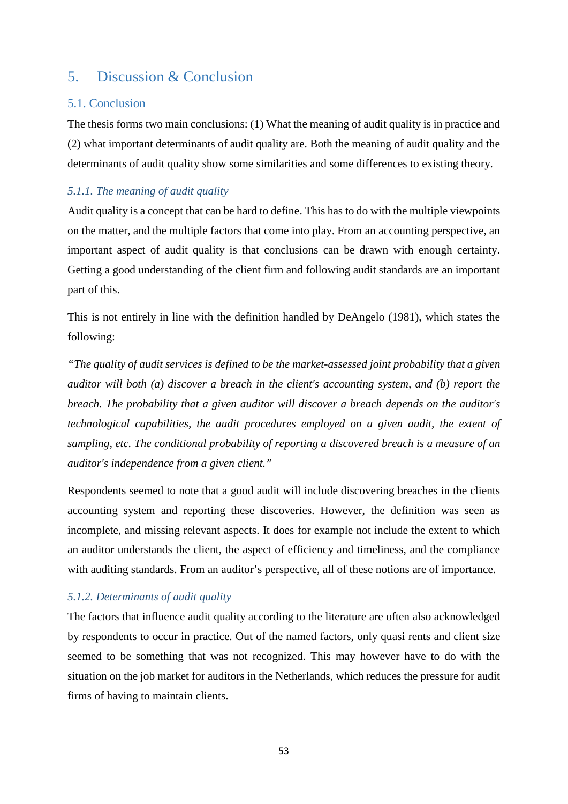## <span id="page-52-0"></span>5. Discussion & Conclusion

#### 5.1. Conclusion

The thesis forms two main conclusions: (1) What the meaning of audit quality is in practice and (2) what important determinants of audit quality are. Both the meaning of audit quality and the determinants of audit quality show some similarities and some differences to existing theory.

#### *5.1.1. The meaning of audit quality*

Audit quality is a concept that can be hard to define. This has to do with the multiple viewpoints on the matter, and the multiple factors that come into play. From an accounting perspective, an important aspect of audit quality is that conclusions can be drawn with enough certainty. Getting a good understanding of the client firm and following audit standards are an important part of this.

This is not entirely in line with the definition handled by DeAngelo (1981), which states the following:

*"The quality of audit services is defined to be the market-assessed joint probability that a given auditor will both (a) discover a breach in the client's accounting system, and (b) report the breach. The probability that a given auditor will discover a breach depends on the auditor's technological capabilities, the audit procedures employed on a given audit, the extent of sampling, etc. The conditional probability of reporting a discovered breach is a measure of an auditor's independence from a given client."*

Respondents seemed to note that a good audit will include discovering breaches in the clients accounting system and reporting these discoveries. However, the definition was seen as incomplete, and missing relevant aspects. It does for example not include the extent to which an auditor understands the client, the aspect of efficiency and timeliness, and the compliance with auditing standards. From an auditor's perspective, all of these notions are of importance.

#### *5.1.2. Determinants of audit quality*

The factors that influence audit quality according to the literature are often also acknowledged by respondents to occur in practice. Out of the named factors, only quasi rents and client size seemed to be something that was not recognized. This may however have to do with the situation on the job market for auditors in the Netherlands, which reduces the pressure for audit firms of having to maintain clients.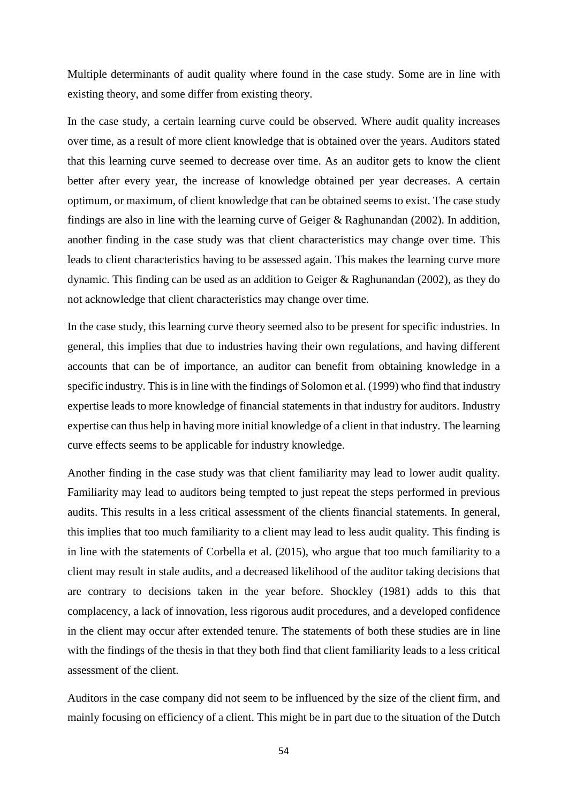Multiple determinants of audit quality where found in the case study. Some are in line with existing theory, and some differ from existing theory.

In the case study, a certain learning curve could be observed. Where audit quality increases over time, as a result of more client knowledge that is obtained over the years. Auditors stated that this learning curve seemed to decrease over time. As an auditor gets to know the client better after every year, the increase of knowledge obtained per year decreases. A certain optimum, or maximum, of client knowledge that can be obtained seems to exist. The case study findings are also in line with the learning curve of Geiger & Raghunandan (2002). In addition, another finding in the case study was that client characteristics may change over time. This leads to client characteristics having to be assessed again. This makes the learning curve more dynamic. This finding can be used as an addition to Geiger & Raghunandan (2002), as they do not acknowledge that client characteristics may change over time.

In the case study, this learning curve theory seemed also to be present for specific industries. In general, this implies that due to industries having their own regulations, and having different accounts that can be of importance, an auditor can benefit from obtaining knowledge in a specific industry. This is in line with the findings of Solomon et al. (1999) who find that industry expertise leads to more knowledge of financial statements in that industry for auditors. Industry expertise can thus help in having more initial knowledge of a client in that industry. The learning curve effects seems to be applicable for industry knowledge.

Another finding in the case study was that client familiarity may lead to lower audit quality. Familiarity may lead to auditors being tempted to just repeat the steps performed in previous audits. This results in a less critical assessment of the clients financial statements. In general, this implies that too much familiarity to a client may lead to less audit quality. This finding is in line with the statements of Corbella et al. (2015), who argue that too much familiarity to a client may result in stale audits, and a decreased likelihood of the auditor taking decisions that are contrary to decisions taken in the year before. Shockley (1981) adds to this that complacency, a lack of innovation, less rigorous audit procedures, and a developed confidence in the client may occur after extended tenure. The statements of both these studies are in line with the findings of the thesis in that they both find that client familiarity leads to a less critical assessment of the client.

Auditors in the case company did not seem to be influenced by the size of the client firm, and mainly focusing on efficiency of a client. This might be in part due to the situation of the Dutch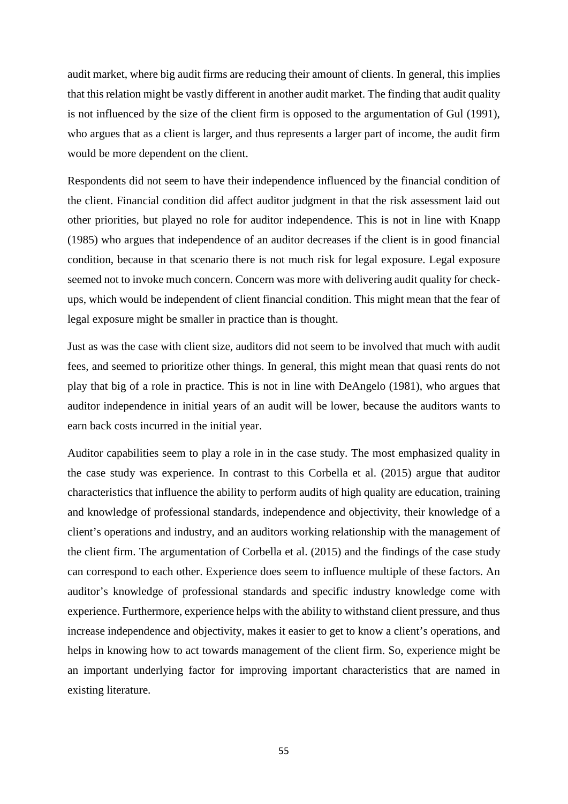audit market, where big audit firms are reducing their amount of clients. In general, this implies that this relation might be vastly different in another audit market. The finding that audit quality is not influenced by the size of the client firm is opposed to the argumentation of Gul (1991), who argues that as a client is larger, and thus represents a larger part of income, the audit firm would be more dependent on the client.

Respondents did not seem to have their independence influenced by the financial condition of the client. Financial condition did affect auditor judgment in that the risk assessment laid out other priorities, but played no role for auditor independence. This is not in line with Knapp (1985) who argues that independence of an auditor decreases if the client is in good financial condition, because in that scenario there is not much risk for legal exposure. Legal exposure seemed not to invoke much concern. Concern was more with delivering audit quality for checkups, which would be independent of client financial condition. This might mean that the fear of legal exposure might be smaller in practice than is thought.

Just as was the case with client size, auditors did not seem to be involved that much with audit fees, and seemed to prioritize other things. In general, this might mean that quasi rents do not play that big of a role in practice. This is not in line with DeAngelo (1981), who argues that auditor independence in initial years of an audit will be lower, because the auditors wants to earn back costs incurred in the initial year.

Auditor capabilities seem to play a role in in the case study. The most emphasized quality in the case study was experience. In contrast to this Corbella et al. (2015) argue that auditor characteristics that influence the ability to perform audits of high quality are education, training and knowledge of professional standards, independence and objectivity, their knowledge of a client's operations and industry, and an auditors working relationship with the management of the client firm. The argumentation of Corbella et al. (2015) and the findings of the case study can correspond to each other. Experience does seem to influence multiple of these factors. An auditor's knowledge of professional standards and specific industry knowledge come with experience. Furthermore, experience helps with the ability to withstand client pressure, and thus increase independence and objectivity, makes it easier to get to know a client's operations, and helps in knowing how to act towards management of the client firm. So, experience might be an important underlying factor for improving important characteristics that are named in existing literature.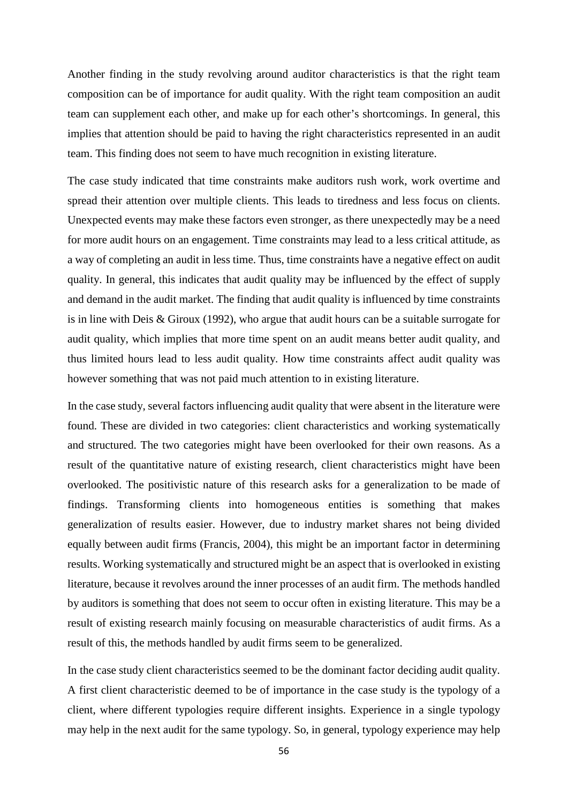Another finding in the study revolving around auditor characteristics is that the right team composition can be of importance for audit quality. With the right team composition an audit team can supplement each other, and make up for each other's shortcomings. In general, this implies that attention should be paid to having the right characteristics represented in an audit team. This finding does not seem to have much recognition in existing literature.

The case study indicated that time constraints make auditors rush work, work overtime and spread their attention over multiple clients. This leads to tiredness and less focus on clients. Unexpected events may make these factors even stronger, as there unexpectedly may be a need for more audit hours on an engagement. Time constraints may lead to a less critical attitude, as a way of completing an audit in less time. Thus, time constraints have a negative effect on audit quality. In general, this indicates that audit quality may be influenced by the effect of supply and demand in the audit market. The finding that audit quality is influenced by time constraints is in line with Deis & Giroux (1992), who argue that audit hours can be a suitable surrogate for audit quality, which implies that more time spent on an audit means better audit quality, and thus limited hours lead to less audit quality. How time constraints affect audit quality was however something that was not paid much attention to in existing literature.

In the case study, several factors influencing audit quality that were absent in the literature were found. These are divided in two categories: client characteristics and working systematically and structured. The two categories might have been overlooked for their own reasons. As a result of the quantitative nature of existing research, client characteristics might have been overlooked. The positivistic nature of this research asks for a generalization to be made of findings. Transforming clients into homogeneous entities is something that makes generalization of results easier. However, due to industry market shares not being divided equally between audit firms (Francis, 2004), this might be an important factor in determining results. Working systematically and structured might be an aspect that is overlooked in existing literature, because it revolves around the inner processes of an audit firm. The methods handled by auditors is something that does not seem to occur often in existing literature. This may be a result of existing research mainly focusing on measurable characteristics of audit firms. As a result of this, the methods handled by audit firms seem to be generalized.

In the case study client characteristics seemed to be the dominant factor deciding audit quality. A first client characteristic deemed to be of importance in the case study is the typology of a client, where different typologies require different insights. Experience in a single typology may help in the next audit for the same typology. So, in general, typology experience may help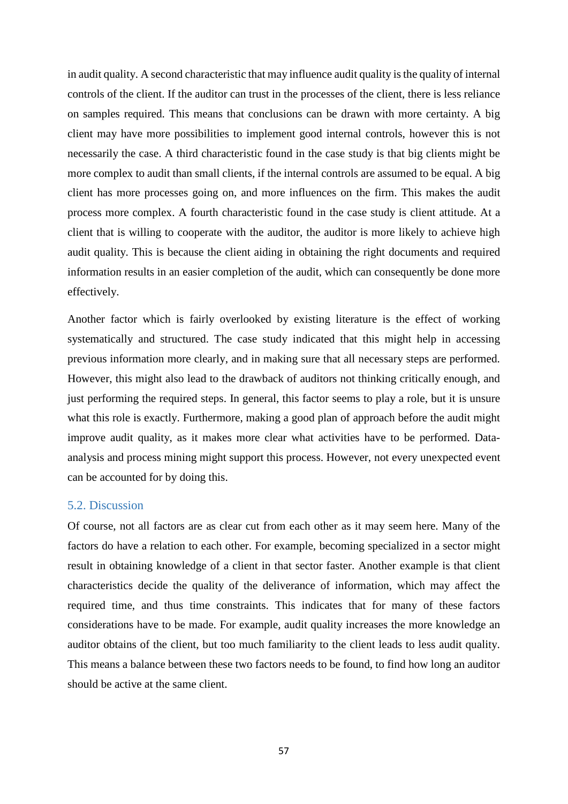in audit quality. A second characteristic that may influence audit quality is the quality of internal controls of the client. If the auditor can trust in the processes of the client, there is less reliance on samples required. This means that conclusions can be drawn with more certainty. A big client may have more possibilities to implement good internal controls, however this is not necessarily the case. A third characteristic found in the case study is that big clients might be more complex to audit than small clients, if the internal controls are assumed to be equal. A big client has more processes going on, and more influences on the firm. This makes the audit process more complex. A fourth characteristic found in the case study is client attitude. At a client that is willing to cooperate with the auditor, the auditor is more likely to achieve high audit quality. This is because the client aiding in obtaining the right documents and required information results in an easier completion of the audit, which can consequently be done more effectively.

Another factor which is fairly overlooked by existing literature is the effect of working systematically and structured. The case study indicated that this might help in accessing previous information more clearly, and in making sure that all necessary steps are performed. However, this might also lead to the drawback of auditors not thinking critically enough, and just performing the required steps. In general, this factor seems to play a role, but it is unsure what this role is exactly. Furthermore, making a good plan of approach before the audit might improve audit quality, as it makes more clear what activities have to be performed. Dataanalysis and process mining might support this process. However, not every unexpected event can be accounted for by doing this.

#### 5.2. Discussion

Of course, not all factors are as clear cut from each other as it may seem here. Many of the factors do have a relation to each other. For example, becoming specialized in a sector might result in obtaining knowledge of a client in that sector faster. Another example is that client characteristics decide the quality of the deliverance of information, which may affect the required time, and thus time constraints. This indicates that for many of these factors considerations have to be made. For example, audit quality increases the more knowledge an auditor obtains of the client, but too much familiarity to the client leads to less audit quality. This means a balance between these two factors needs to be found, to find how long an auditor should be active at the same client.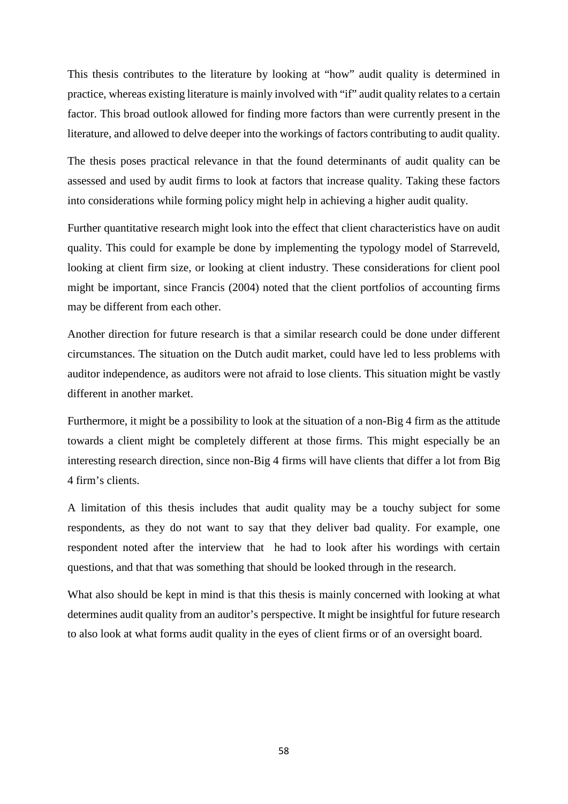This thesis contributes to the literature by looking at "how" audit quality is determined in practice, whereas existing literature is mainly involved with "if" audit quality relates to a certain factor. This broad outlook allowed for finding more factors than were currently present in the literature, and allowed to delve deeper into the workings of factors contributing to audit quality.

The thesis poses practical relevance in that the found determinants of audit quality can be assessed and used by audit firms to look at factors that increase quality. Taking these factors into considerations while forming policy might help in achieving a higher audit quality.

Further quantitative research might look into the effect that client characteristics have on audit quality. This could for example be done by implementing the typology model of Starreveld, looking at client firm size, or looking at client industry. These considerations for client pool might be important, since Francis (2004) noted that the client portfolios of accounting firms may be different from each other.

Another direction for future research is that a similar research could be done under different circumstances. The situation on the Dutch audit market, could have led to less problems with auditor independence, as auditors were not afraid to lose clients. This situation might be vastly different in another market.

Furthermore, it might be a possibility to look at the situation of a non-Big 4 firm as the attitude towards a client might be completely different at those firms. This might especially be an interesting research direction, since non-Big 4 firms will have clients that differ a lot from Big 4 firm's clients.

A limitation of this thesis includes that audit quality may be a touchy subject for some respondents, as they do not want to say that they deliver bad quality. For example, one respondent noted after the interview that he had to look after his wordings with certain questions, and that that was something that should be looked through in the research.

What also should be kept in mind is that this thesis is mainly concerned with looking at what determines audit quality from an auditor's perspective. It might be insightful for future research to also look at what forms audit quality in the eyes of client firms or of an oversight board.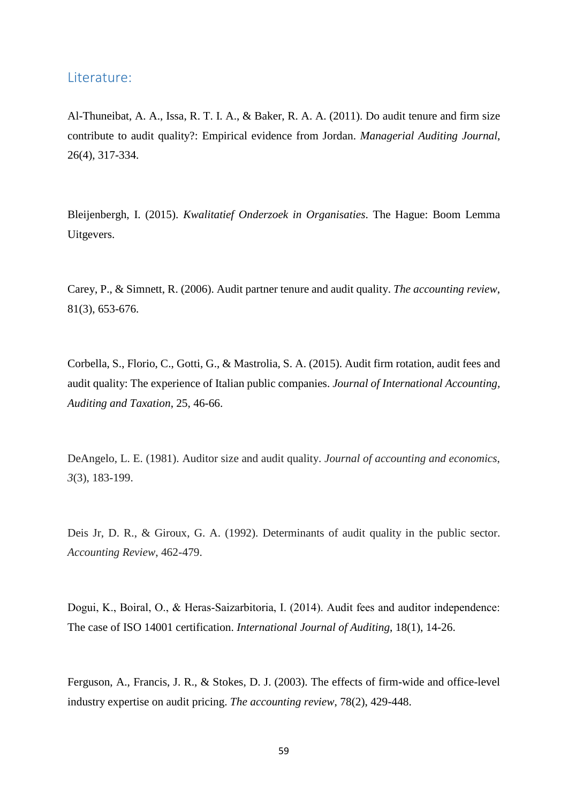#### <span id="page-58-0"></span>Literature:

Al-Thuneibat, A. A., Issa, R. T. I. A., & Baker, R. A. A. (2011). Do audit tenure and firm size contribute to audit quality?: Empirical evidence from Jordan. *Managerial Auditing Journal*, 26(4), 317-334.

Bleijenbergh, I. (2015). *Kwalitatief Onderzoek in Organisaties*. The Hague: Boom Lemma Uitgevers.

Carey, P., & Simnett, R. (2006). Audit partner tenure and audit quality. *The accounting review*, 81(3), 653-676.

Corbella, S., Florio, C., Gotti, G., & Mastrolia, S. A. (2015). Audit firm rotation, audit fees and audit quality: The experience of Italian public companies. *Journal of International Accounting, Auditing and Taxation*, 25, 46-66.

DeAngelo, L. E. (1981). Auditor size and audit quality. *Journal of accounting and economics*, *3*(3), 183-199.

Deis Jr, D. R., & Giroux, G. A. (1992). Determinants of audit quality in the public sector. *Accounting Review*, 462-479.

Dogui, K., Boiral, O., & Heras‐Saizarbitoria, I. (2014). Audit fees and auditor independence: The case of ISO 14001 certification. *International Journal of Auditing*, 18(1), 14-26.

Ferguson, A., Francis, J. R., & Stokes, D. J. (2003). The effects of firm-wide and office-level industry expertise on audit pricing. *The accounting review*, 78(2), 429-448.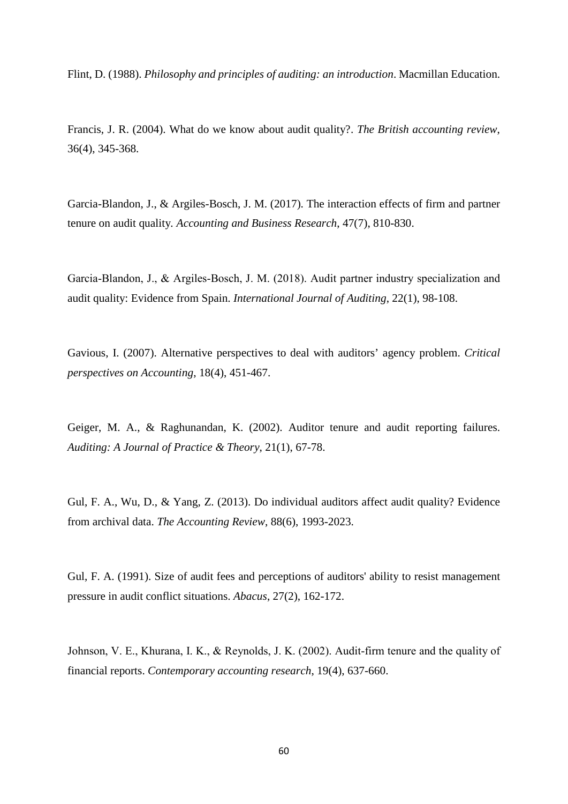Flint, D. (1988). *Philosophy and principles of auditing: an introduction*. Macmillan Education.

Francis, J. R. (2004). What do we know about audit quality?. *The British accounting review*, 36(4), 345-368.

Garcia-Blandon, J., & Argiles-Bosch, J. M. (2017). The interaction effects of firm and partner tenure on audit quality*. Accounting and Business Research*, 47(7), 810-830.

Garcia‐Blandon, J., & Argiles‐Bosch, J. M. (2018). Audit partner industry specialization and audit quality: Evidence from Spain. *International Journal of Auditing*, 22(1), 98-108.

Gavious, I. (2007). Alternative perspectives to deal with auditors' agency problem. *Critical perspectives on Accounting*, 18(4), 451-467.

Geiger, M. A., & Raghunandan, K. (2002). Auditor tenure and audit reporting failures. *Auditing: A Journal of Practice & Theory*, 21(1), 67-78.

Gul, F. A., Wu, D., & Yang, Z. (2013). Do individual auditors affect audit quality? Evidence from archival data. *The Accounting Review*, 88(6), 1993-2023.

Gul, F. A. (1991). Size of audit fees and perceptions of auditors' ability to resist management pressure in audit conflict situations. *Abacus*, 27(2), 162-172.

Johnson, V. E., Khurana, I. K., & Reynolds, J. K. (2002). Audit‐firm tenure and the quality of financial reports. *Contemporary accounting research*, 19(4), 637-660.